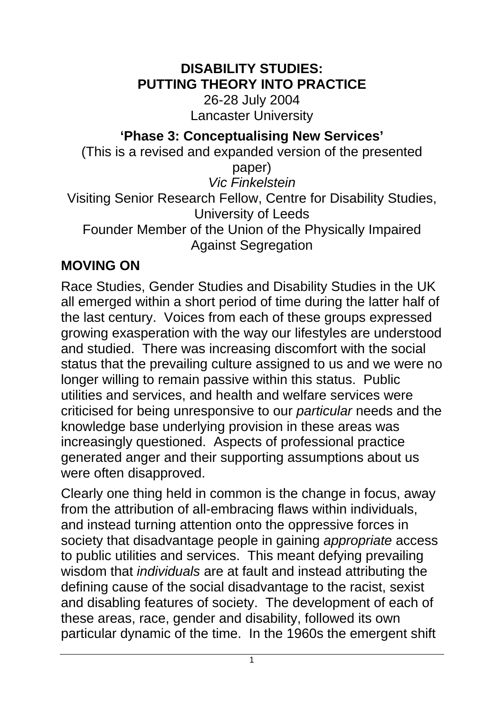#### **DISABILITY STUDIES: PUTTING THEORY INTO PRACTICE**

26-28 July 2004 Lancaster University

**'Phase 3: Conceptualising New Services'**

(This is a revised and expanded version of the presented paper) *Vic Finkelstein*

Visiting Senior Research Fellow, Centre for Disability Studies, University of Leeds Founder Member of the Union of the Physically Impaired

Against Segregation

## **MOVING ON**

Race Studies, Gender Studies and Disability Studies in the UK all emerged within a short period of time during the latter half of the last century. Voices from each of these groups expressed growing exasperation with the way our lifestyles are understood and studied. There was increasing discomfort with the social status that the prevailing culture assigned to us and we were no longer willing to remain passive within this status. Public utilities and services, and health and welfare services were criticised for being unresponsive to our *particular* needs and the knowledge base underlying provision in these areas was increasingly questioned. Aspects of professional practice generated anger and their supporting assumptions about us were often disapproved.

Clearly one thing held in common is the change in focus, away from the attribution of all-embracing flaws within individuals, and instead turning attention onto the oppressive forces in society that disadvantage people in gaining *appropriate* access to public utilities and services. This meant defying prevailing wisdom that *individuals* are at fault and instead attributing the defining cause of the social disadvantage to the racist, sexist and disabling features of society. The development of each of these areas, race, gender and disability, followed its own particular dynamic of the time. In the 1960s the emergent shift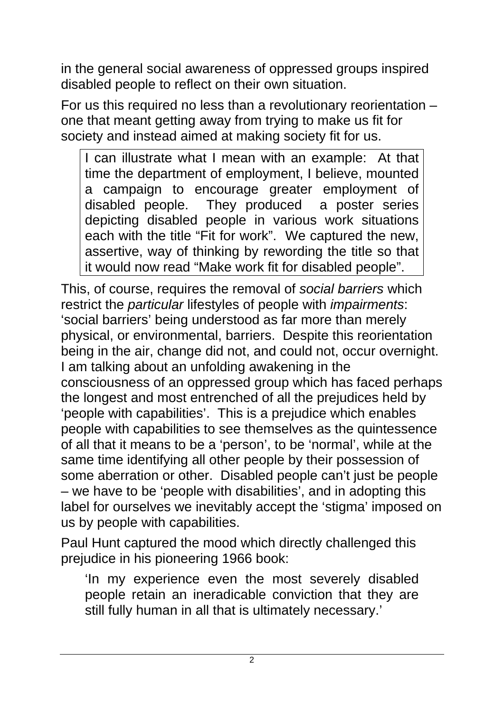in the general social awareness of oppressed groups inspired disabled people to reflect on their own situation.

For us this required no less than a revolutionary reorientation – one that meant getting away from trying to make us fit for society and instead aimed at making society fit for us.

I can illustrate what I mean with an example: At that time the department of employment, I believe, mounted a campaign to encourage greater employment of disabled people. They produced a poster series depicting disabled people in various work situations each with the title "Fit for work". We captured the new, assertive, way of thinking by rewording the title so that it would now read "Make work fit for disabled people".

This, of course, requires the removal of *social barriers* which restrict the *particular* lifestyles of people with *impairments*: 'social barriers' being understood as far more than merely physical, or environmental, barriers. Despite this reorientation being in the air, change did not, and could not, occur overnight. I am talking about an unfolding awakening in the consciousness of an oppressed group which has faced perhaps the longest and most entrenched of all the prejudices held by 'people with capabilities'. This is a prejudice which enables people with capabilities to see themselves as the quintessence of all that it means to be a 'person', to be 'normal', while at the same time identifying all other people by their possession of some aberration or other. Disabled people can't just be people – we have to be 'people with disabilities', and in adopting this label for ourselves we inevitably accept the 'stigma' imposed on us by people with capabilities.

Paul Hunt captured the mood which directly challenged this prejudice in his pioneering 1966 book:

'In my experience even the most severely disabled people retain an ineradicable conviction that they are still fully human in all that is ultimately necessary.'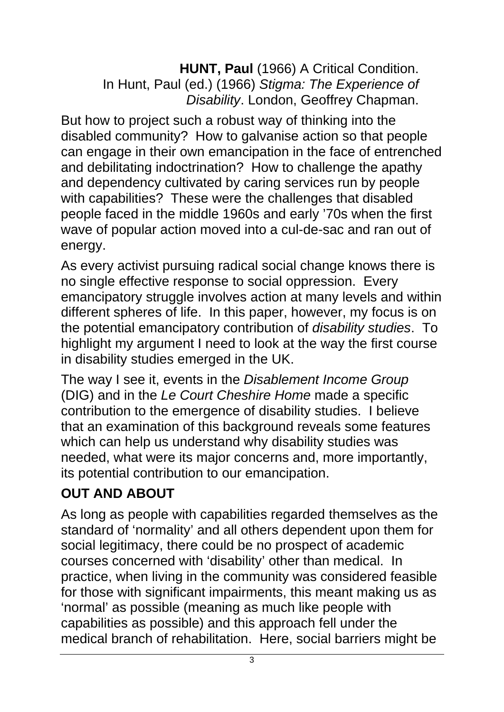**HUNT, Paul** (1966) A Critical Condition. In Hunt, Paul (ed.) (1966) *Stigma: The Experience of Disability*. London, Geoffrey Chapman.

But how to project such a robust way of thinking into the disabled community? How to galvanise action so that people can engage in their own emancipation in the face of entrenched and debilitating indoctrination? How to challenge the apathy and dependency cultivated by caring services run by people with capabilities? These were the challenges that disabled people faced in the middle 1960s and early '70s when the first wave of popular action moved into a cul-de-sac and ran out of energy.

As every activist pursuing radical social change knows there is no single effective response to social oppression. Every emancipatory struggle involves action at many levels and within different spheres of life. In this paper, however, my focus is on the potential emancipatory contribution of *disability studies*. To highlight my argument I need to look at the way the first course in disability studies emerged in the UK.

The way I see it, events in the *Disablement Income Group*  (DIG) and in the *Le Court Cheshire Home* made a specific contribution to the emergence of disability studies. I believe that an examination of this background reveals some features which can help us understand why disability studies was needed, what were its major concerns and, more importantly, its potential contribution to our emancipation.

### **OUT AND ABOUT**

As long as people with capabilities regarded themselves as the standard of 'normality' and all others dependent upon them for social legitimacy, there could be no prospect of academic courses concerned with 'disability' other than medical. In practice, when living in the community was considered feasible for those with significant impairments, this meant making us as 'normal' as possible (meaning as much like people with capabilities as possible) and this approach fell under the medical branch of rehabilitation. Here, social barriers might be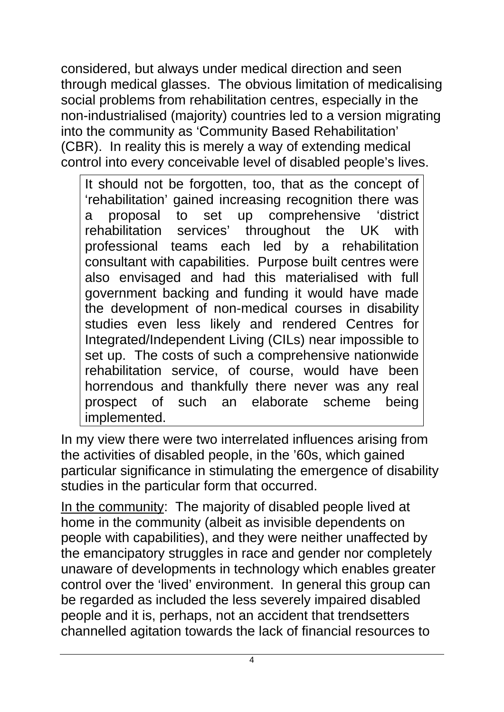considered, but always under medical direction and seen through medical glasses. The obvious limitation of medicalising social problems from rehabilitation centres, especially in the non-industrialised (majority) countries led to a version migrating into the community as 'Community Based Rehabilitation' (CBR). In reality this is merely a way of extending medical control into every conceivable level of disabled people's lives.

It should not be forgotten, too, that as the concept of 'rehabilitation' gained increasing recognition there was a proposal to set up comprehensive 'district rehabilitation services' throughout the UK with professional teams each led by a rehabilitation consultant with capabilities. Purpose built centres were also envisaged and had this materialised with full government backing and funding it would have made the development of non-medical courses in disability studies even less likely and rendered Centres for Integrated/Independent Living (CILs) near impossible to set up. The costs of such a comprehensive nationwide rehabilitation service, of course, would have been horrendous and thankfully there never was any real prospect of such an elaborate scheme being implemented.

In my view there were two interrelated influences arising from the activities of disabled people, in the '60s, which gained particular significance in stimulating the emergence of disability studies in the particular form that occurred.

In the community: The majority of disabled people lived at home in the community (albeit as invisible dependents on people with capabilities), and they were neither unaffected by the emancipatory struggles in race and gender nor completely unaware of developments in technology which enables greater control over the 'lived' environment. In general this group can be regarded as included the less severely impaired disabled people and it is, perhaps, not an accident that trendsetters channelled agitation towards the lack of financial resources to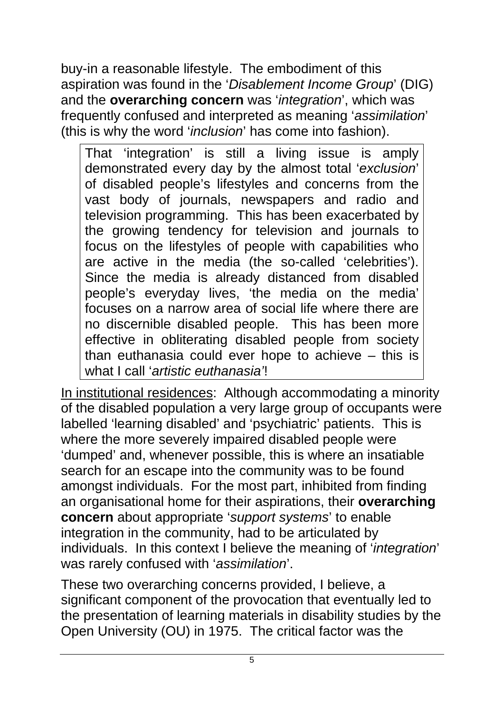buy-in a reasonable lifestyle. The embodiment of this aspiration was found in the '*Disablement Income Group*' (DIG) and the **overarching concern** was '*integration*', which was frequently confused and interpreted as meaning '*assimilation*' (this is why the word '*inclusion*' has come into fashion).

That 'integration' is still a living issue is amply demonstrated every day by the almost total '*exclusion*' of disabled people's lifestyles and concerns from the vast body of journals, newspapers and radio and television programming. This has been exacerbated by the growing tendency for television and journals to focus on the lifestyles of people with capabilities who are active in the media (the so-called 'celebrities'). Since the media is already distanced from disabled people's everyday lives, 'the media on the media' focuses on a narrow area of social life where there are no discernible disabled people. This has been more effective in obliterating disabled people from society than euthanasia could ever hope to achieve – this is what I call '*artistic euthanasia'*!

In institutional residences: Although accommodating a minority of the disabled population a very large group of occupants were labelled 'learning disabled' and 'psychiatric' patients. This is where the more severely impaired disabled people were 'dumped' and, whenever possible, this is where an insatiable search for an escape into the community was to be found amongst individuals. For the most part, inhibited from finding an organisational home for their aspirations, their **overarching concern** about appropriate '*support systems*' to enable integration in the community, had to be articulated by individuals. In this context I believe the meaning of '*integration*' was rarely confused with '*assimilation*'.

These two overarching concerns provided, I believe, a significant component of the provocation that eventually led to the presentation of learning materials in disability studies by the Open University (OU) in 1975. The critical factor was the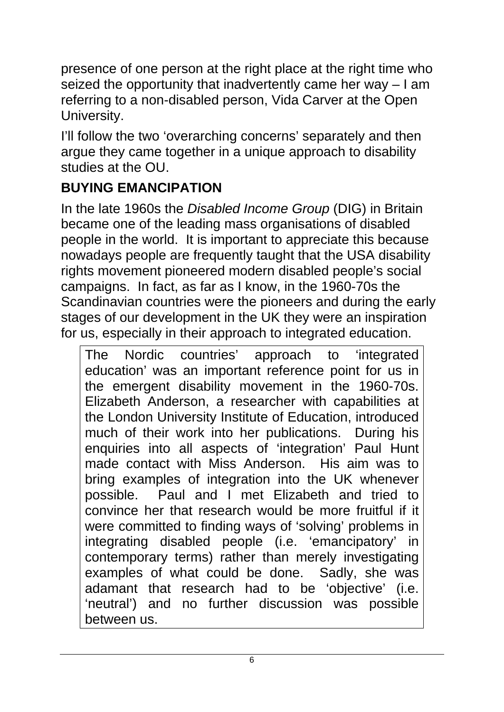presence of one person at the right place at the right time who seized the opportunity that inadvertently came her way – I am referring to a non-disabled person, Vida Carver at the Open University.

I'll follow the two 'overarching concerns' separately and then argue they came together in a unique approach to disability studies at the OU.

## **BUYING EMANCIPATION**

In the late 1960s the *Disabled Income Group* (DIG) in Britain became one of the leading mass organisations of disabled people in the world. It is important to appreciate this because nowadays people are frequently taught that the USA disability rights movement pioneered modern disabled people's social campaigns. In fact, as far as I know, in the 1960-70s the Scandinavian countries were the pioneers and during the early stages of our development in the UK they were an inspiration for us, especially in their approach to integrated education.

The Nordic countries' approach to 'integrated education' was an important reference point for us in the emergent disability movement in the 1960-70s. Elizabeth Anderson, a researcher with capabilities at the London University Institute of Education, introduced much of their work into her publications. During his enquiries into all aspects of 'integration' Paul Hunt made contact with Miss Anderson. His aim was to bring examples of integration into the UK whenever possible. Paul and I met Elizabeth and tried to convince her that research would be more fruitful if it were committed to finding ways of 'solving' problems in integrating disabled people (i.e. 'emancipatory' in contemporary terms) rather than merely investigating examples of what could be done. Sadly, she was adamant that research had to be 'objective' (i.e. 'neutral') and no further discussion was possible between us.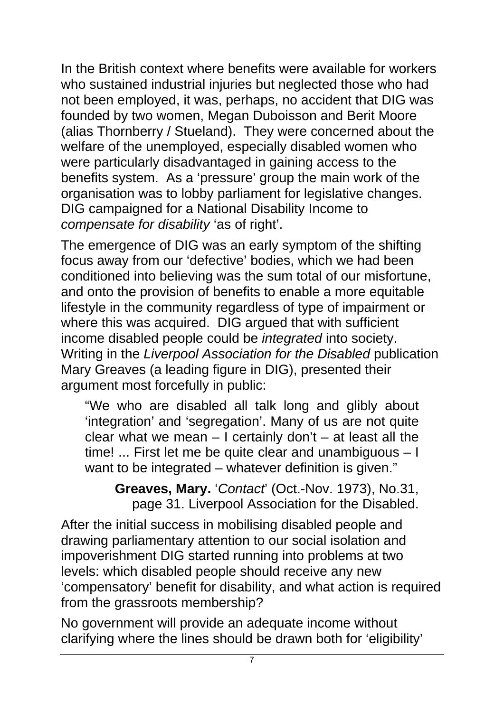In the British context where benefits were available for workers who sustained industrial injuries but neglected those who had not been employed, it was, perhaps, no accident that DIG was founded by two women, Megan Duboisson and Berit Moore (alias Thornberry / Stueland). They were concerned about the welfare of the unemployed, especially disabled women who were particularly disadvantaged in gaining access to the benefits system. As a 'pressure' group the main work of the organisation was to lobby parliament for legislative changes. DIG campaigned for a National Disability Income to *compensate for disability* 'as of right'.

The emergence of DIG was an early symptom of the shifting focus away from our 'defective' bodies, which we had been conditioned into believing was the sum total of our misfortune, and onto the provision of benefits to enable a more equitable lifestyle in the community regardless of type of impairment or where this was acquired. DIG argued that with sufficient income disabled people could be *integrated* into society. Writing in the *Liverpool Association for the Disabled* publication Mary Greaves (a leading figure in DIG), presented their argument most forcefully in public:

"We who are disabled all talk long and glibly about 'integration' and 'segregation'. Many of us are not quite clear what we mean  $-1$  certainly don't  $-$  at least all the time! ... First let me be quite clear and unambiguous – I want to be integrated – whatever definition is given."

**Greaves, Mary.** '*Contact*' (Oct.-Nov. 1973), No.31, page 31. Liverpool Association for the Disabled.

After the initial success in mobilising disabled people and drawing parliamentary attention to our social isolation and impoverishment DIG started running into problems at two levels: which disabled people should receive any new 'compensatory' benefit for disability, and what action is required from the grassroots membership?

No government will provide an adequate income without clarifying where the lines should be drawn both for 'eligibility'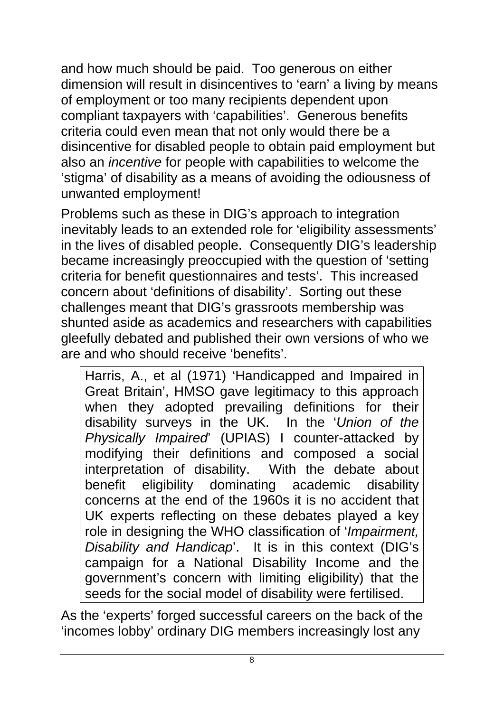and how much should be paid. Too generous on either dimension will result in disincentives to 'earn' a living by means of employment or too many recipients dependent upon compliant taxpayers with 'capabilities'. Generous benefits criteria could even mean that not only would there be a disincentive for disabled people to obtain paid employment but also an *incentive* for people with capabilities to welcome the 'stigma' of disability as a means of avoiding the odiousness of unwanted employment!

Problems such as these in DIG's approach to integration inevitably leads to an extended role for 'eligibility assessments' in the lives of disabled people. Consequently DIG's leadership became increasingly preoccupied with the question of 'setting criteria for benefit questionnaires and tests'. This increased concern about 'definitions of disability'. Sorting out these challenges meant that DIG's grassroots membership was shunted aside as academics and researchers with capabilities gleefully debated and published their own versions of who we are and who should receive 'benefits'.

Harris, A., et al (1971) 'Handicapped and Impaired in Great Britain', HMSO gave legitimacy to this approach when they adopted prevailing definitions for their disability surveys in the UK. In the '*Union of the Physically Impaired*' (UPIAS) I counter-attacked by modifying their definitions and composed a social interpretation of disability. With the debate about benefit eligibility dominating academic disability concerns at the end of the 1960s it is no accident that UK experts reflecting on these debates played a key role in designing the WHO classification of '*Impairment, Disability and Handicap*'. It is in this context (DIG's campaign for a National Disability Income and the government's concern with limiting eligibility) that the seeds for the social model of disability were fertilised.

As the 'experts' forged successful careers on the back of the 'incomes lobby' ordinary DIG members increasingly lost any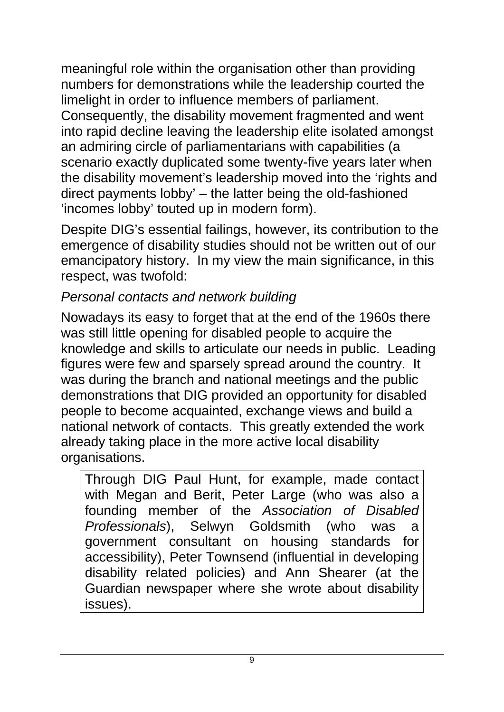meaningful role within the organisation other than providing numbers for demonstrations while the leadership courted the limelight in order to influence members of parliament. Consequently, the disability movement fragmented and went into rapid decline leaving the leadership elite isolated amongst an admiring circle of parliamentarians with capabilities (a scenario exactly duplicated some twenty-five years later when the disability movement's leadership moved into the 'rights and direct payments lobby' – the latter being the old-fashioned 'incomes lobby' touted up in modern form).

Despite DIG's essential failings, however, its contribution to the emergence of disability studies should not be written out of our emancipatory history. In my view the main significance, in this respect, was twofold:

### *Personal contacts and network building*

Nowadays its easy to forget that at the end of the 1960s there was still little opening for disabled people to acquire the knowledge and skills to articulate our needs in public. Leading figures were few and sparsely spread around the country. It was during the branch and national meetings and the public demonstrations that DIG provided an opportunity for disabled people to become acquainted, exchange views and build a national network of contacts. This greatly extended the work already taking place in the more active local disability organisations.

Through DIG Paul Hunt, for example, made contact with Megan and Berit, Peter Large (who was also a founding member of the *Association of Disabled Professionals*), Selwyn Goldsmith (who was a government consultant on housing standards for accessibility), Peter Townsend (influential in developing disability related policies) and Ann Shearer (at the Guardian newspaper where she wrote about disability issues).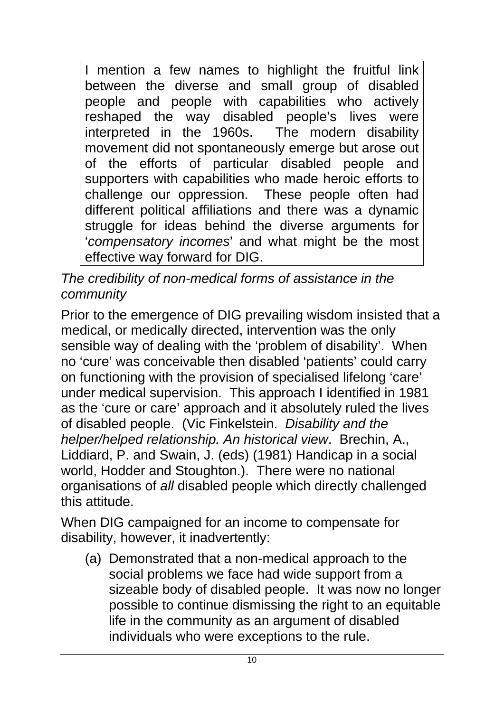I mention a few names to highlight the fruitful link between the diverse and small group of disabled people and people with capabilities who actively reshaped the way disabled people's lives were interpreted in the 1960s. The modern disability movement did not spontaneously emerge but arose out of the efforts of particular disabled people and supporters with capabilities who made heroic efforts to challenge our oppression. These people often had different political affiliations and there was a dynamic struggle for ideas behind the diverse arguments for '*compensatory incomes*' and what might be the most effective way forward for DIG.

### *The credibility of non-medical forms of assistance in the community*

Prior to the emergence of DIG prevailing wisdom insisted that a medical, or medically directed, intervention was the only sensible way of dealing with the 'problem of disability'. When no 'cure' was conceivable then disabled 'patients' could carry on functioning with the provision of specialised lifelong 'care' under medical supervision. This approach I identified in 1981 as the 'cure or care' approach and it absolutely ruled the lives of disabled people. (Vic Finkelstein. *Disability and the helper/helped relationship. An historical view*. Brechin, A., Liddiard, P. and Swain, J. (eds) (1981) Handicap in a social world, Hodder and Stoughton.). There were no national organisations of *all* disabled people which directly challenged this attitude.

When DIG campaigned for an income to compensate for disability, however, it inadvertently:

(a) Demonstrated that a non-medical approach to the social problems we face had wide support from a sizeable body of disabled people. It was now no longer possible to continue dismissing the right to an equitable life in the community as an argument of disabled individuals who were exceptions to the rule.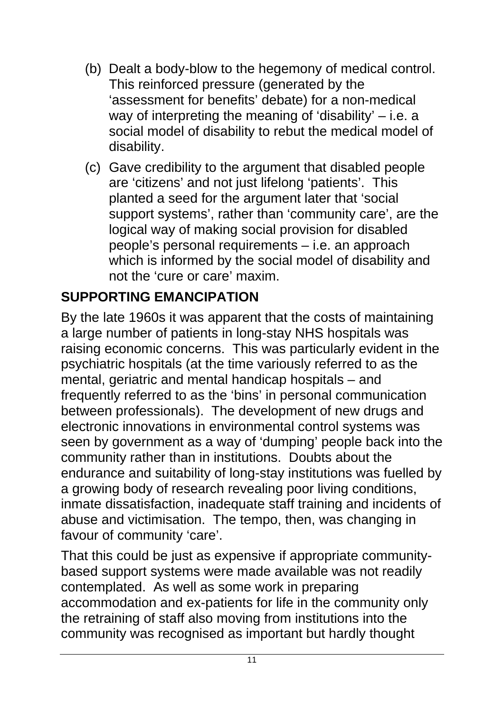- (b) Dealt a body-blow to the hegemony of medical control. This reinforced pressure (generated by the 'assessment for benefits' debate) for a non-medical way of interpreting the meaning of 'disability' – i.e. a social model of disability to rebut the medical model of disability.
- (c) Gave credibility to the argument that disabled people are 'citizens' and not just lifelong 'patients'. This planted a seed for the argument later that 'social support systems', rather than 'community care', are the logical way of making social provision for disabled people's personal requirements – i.e. an approach which is informed by the social model of disability and not the 'cure or care' maxim.

## **SUPPORTING EMANCIPATION**

By the late 1960s it was apparent that the costs of maintaining a large number of patients in long-stay NHS hospitals was raising economic concerns. This was particularly evident in the psychiatric hospitals (at the time variously referred to as the mental, geriatric and mental handicap hospitals – and frequently referred to as the 'bins' in personal communication between professionals). The development of new drugs and electronic innovations in environmental control systems was seen by government as a way of 'dumping' people back into the community rather than in institutions. Doubts about the endurance and suitability of long-stay institutions was fuelled by a growing body of research revealing poor living conditions, inmate dissatisfaction, inadequate staff training and incidents of abuse and victimisation. The tempo, then, was changing in favour of community 'care'.

That this could be just as expensive if appropriate communitybased support systems were made available was not readily contemplated. As well as some work in preparing accommodation and ex-patients for life in the community only the retraining of staff also moving from institutions into the community was recognised as important but hardly thought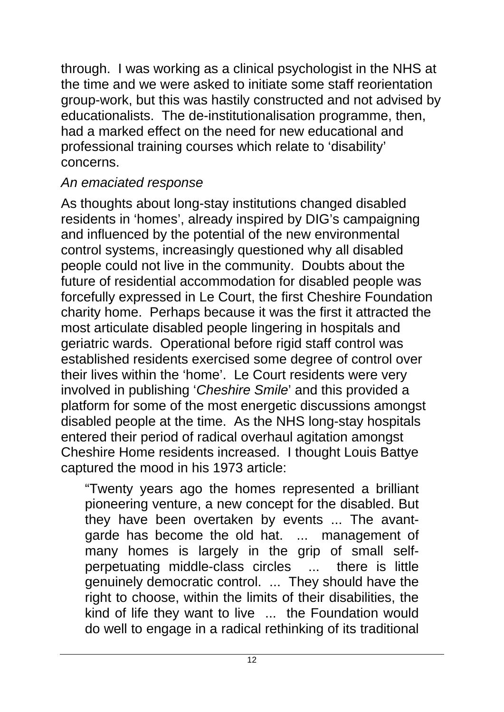through. I was working as a clinical psychologist in the NHS at the time and we were asked to initiate some staff reorientation group-work, but this was hastily constructed and not advised by educationalists. The de-institutionalisation programme, then, had a marked effect on the need for new educational and professional training courses which relate to 'disability' concerns.

#### *An emaciated response*

As thoughts about long-stay institutions changed disabled residents in 'homes', already inspired by DIG's campaigning and influenced by the potential of the new environmental control systems, increasingly questioned why all disabled people could not live in the community. Doubts about the future of residential accommodation for disabled people was forcefully expressed in Le Court, the first Cheshire Foundation charity home. Perhaps because it was the first it attracted the most articulate disabled people lingering in hospitals and geriatric wards. Operational before rigid staff control was established residents exercised some degree of control over their lives within the 'home'. Le Court residents were very involved in publishing '*Cheshire Smile*' and this provided a platform for some of the most energetic discussions amongst disabled people at the time. As the NHS long-stay hospitals entered their period of radical overhaul agitation amongst Cheshire Home residents increased. I thought Louis Battye captured the mood in his 1973 article:

"Twenty years ago the homes represented a brilliant pioneering venture, a new concept for the disabled. But they have been overtaken by events ... The avantgarde has become the old hat. ... management of many homes is largely in the grip of small selfperpetuating middle-class circles ... there is little genuinely democratic control. ... They should have the right to choose, within the limits of their disabilities, the kind of life they want to live ... the Foundation would do well to engage in a radical rethinking of its traditional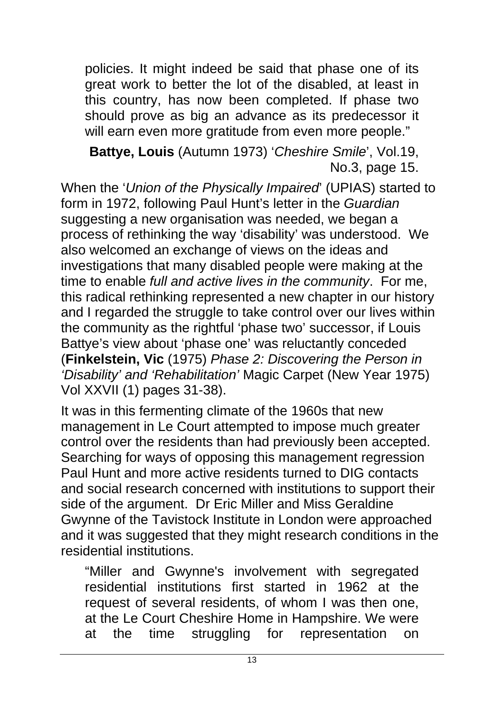policies. It might indeed be said that phase one of its great work to better the lot of the disabled, at least in this country, has now been completed. If phase two should prove as big an advance as its predecessor it will earn even more gratitude from even more people."

**Battye, Louis** (Autumn 1973) '*Cheshire Smile*', Vol.19, No.3, page 15.

When the '*Union of the Physically Impaired*' (UPIAS) started to form in 1972, following Paul Hunt's letter in the *Guardian*  suggesting a new organisation was needed, we began a process of rethinking the way 'disability' was understood. We also welcomed an exchange of views on the ideas and investigations that many disabled people were making at the time to enable *full and active lives in the community*. For me, this radical rethinking represented a new chapter in our history and I regarded the struggle to take control over our lives within the community as the rightful 'phase two' successor, if Louis Battye's view about 'phase one' was reluctantly conceded (**Finkelstein, Vic** (1975) *Phase 2: Discovering the Person in 'Disability' and 'Rehabilitation'* Magic Carpet (New Year 1975) Vol XXVII (1) pages 31-38).

It was in this fermenting climate of the 1960s that new management in Le Court attempted to impose much greater control over the residents than had previously been accepted. Searching for ways of opposing this management regression Paul Hunt and more active residents turned to DIG contacts and social research concerned with institutions to support their side of the argument. Dr Eric Miller and Miss Geraldine Gwynne of the Tavistock Institute in London were approached and it was suggested that they might research conditions in the residential institutions.

"Miller and Gwynne's involvement with segregated residential institutions first started in 1962 at the request of several residents, of whom I was then one, at the Le Court Cheshire Home in Hampshire. We were at the time struggling for representation on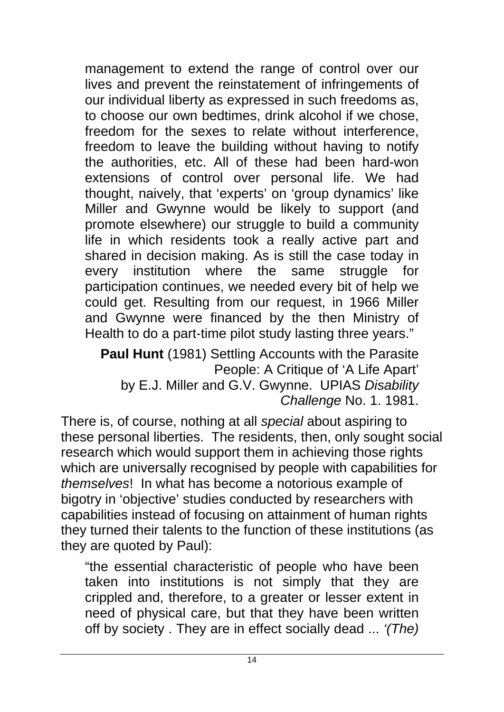management to extend the range of control over our lives and prevent the reinstatement of infringements of our individual liberty as expressed in such freedoms as, to choose our own bedtimes, drink alcohol if we chose, freedom for the sexes to relate without interference, freedom to leave the building without having to notify the authorities, etc. All of these had been hard-won extensions of control over personal life. We had thought, naively, that 'experts' on 'group dynamics' like Miller and Gwynne would be likely to support (and promote elsewhere) our struggle to build a community life in which residents took a really active part and shared in decision making. As is still the case today in every institution where the same struggle for participation continues, we needed every bit of help we could get. Resulting from our request, in 1966 Miller and Gwynne were financed by the then Ministry of Health to do a part-time pilot study lasting three years."

**Paul Hunt** (1981) Settling Accounts with the Parasite People: A Critique of 'A Life Apart' by E.J. Miller and G.V. Gwynne. UPIAS *Disability Challenge* No. 1. 1981.

There is, of course, nothing at all *special* about aspiring to these personal liberties. The residents, then, only sought social research which would support them in achieving those rights which are universally recognised by people with capabilities for *themselves*! In what has become a notorious example of bigotry in 'objective' studies conducted by researchers with capabilities instead of focusing on attainment of human rights they turned their talents to the function of these institutions (as they are quoted by Paul):

"the essential characteristic of people who have been taken into institutions is not simply that they are crippled and, therefore, to a greater or lesser extent in need of physical care, but that they have been written off by society . They are in effect socially dead ... *'(The)*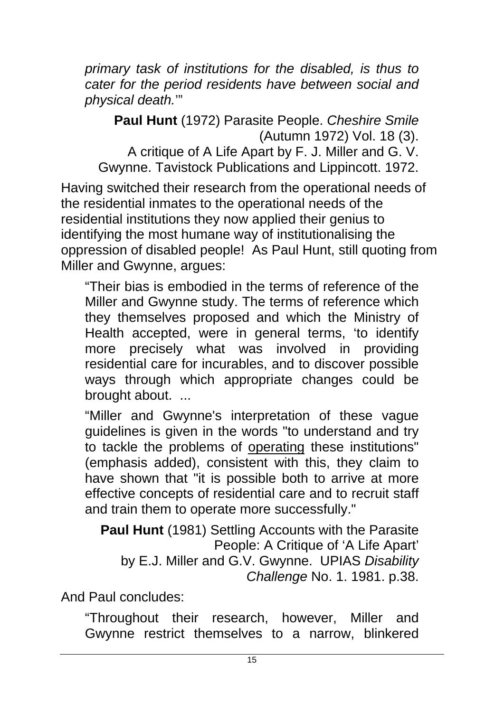*primary task of institutions for the disabled, is thus to cater for the period residents have between social and physical death.*'"

**Paul Hunt** (1972) Parasite People. *Cheshire Smile* (Autumn 1972) Vol. 18 (3). A critique of A Life Apart by F. J. Miller and G. V. Gwynne. Tavistock Publications and Lippincott. 1972.

Having switched their research from the operational needs of the residential inmates to the operational needs of the residential institutions they now applied their genius to identifying the most humane way of institutionalising the oppression of disabled people! As Paul Hunt, still quoting from Miller and Gwynne, argues:

"Their bias is embodied in the terms of reference of the Miller and Gwynne study. The terms of reference which they themselves proposed and which the Ministry of Health accepted, were in general terms, 'to identify more precisely what was involved in providing residential care for incurables, and to discover possible ways through which appropriate changes could be brought about. ...

"Miller and Gwynne's interpretation of these vague guidelines is given in the words "to understand and try to tackle the problems of operating these institutions" (emphasis added), consistent with this, they claim to have shown that "it is possible both to arrive at more effective concepts of residential care and to recruit staff and train them to operate more successfully."

**Paul Hunt** (1981) Settling Accounts with the Parasite People: A Critique of 'A Life Apart' by E.J. Miller and G.V. Gwynne. UPIAS *Disability Challenge* No. 1. 1981. p.38.

And Paul concludes:

"Throughout their research, however, Miller and Gwynne restrict themselves to a narrow, blinkered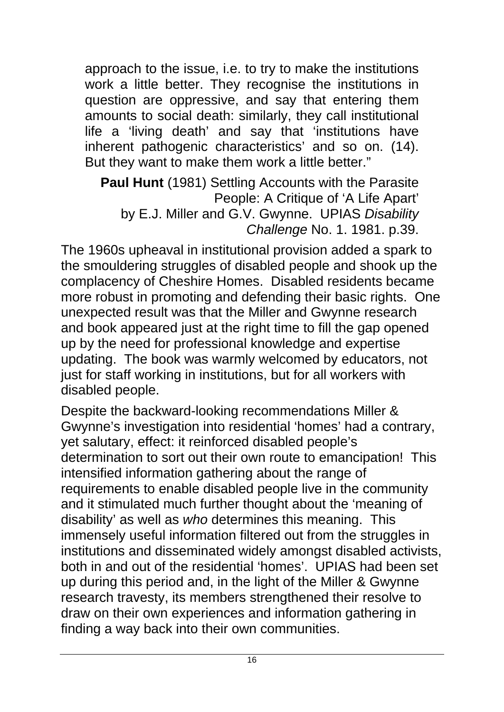approach to the issue, i.e. to try to make the institutions work a little better. They recognise the institutions in question are oppressive, and say that entering them amounts to social death: similarly, they call institutional life a 'living death' and say that 'institutions have inherent pathogenic characteristics' and so on. (14). But they want to make them work a little better."

**Paul Hunt** (1981) Settling Accounts with the Parasite People: A Critique of 'A Life Apart' by E.J. Miller and G.V. Gwynne. UPIAS *Disability Challenge* No. 1. 1981. p.39.

The 1960s upheaval in institutional provision added a spark to the smouldering struggles of disabled people and shook up the complacency of Cheshire Homes. Disabled residents became more robust in promoting and defending their basic rights. One unexpected result was that the Miller and Gwynne research and book appeared just at the right time to fill the gap opened up by the need for professional knowledge and expertise updating. The book was warmly welcomed by educators, not just for staff working in institutions, but for all workers with disabled people.

Despite the backward-looking recommendations Miller & Gwynne's investigation into residential 'homes' had a contrary, yet salutary, effect: it reinforced disabled people's determination to sort out their own route to emancipation! This intensified information gathering about the range of requirements to enable disabled people live in the community and it stimulated much further thought about the 'meaning of disability' as well as *who* determines this meaning. This immensely useful information filtered out from the struggles in institutions and disseminated widely amongst disabled activists, both in and out of the residential 'homes'. UPIAS had been set up during this period and, in the light of the Miller & Gwynne research travesty, its members strengthened their resolve to draw on their own experiences and information gathering in finding a way back into their own communities.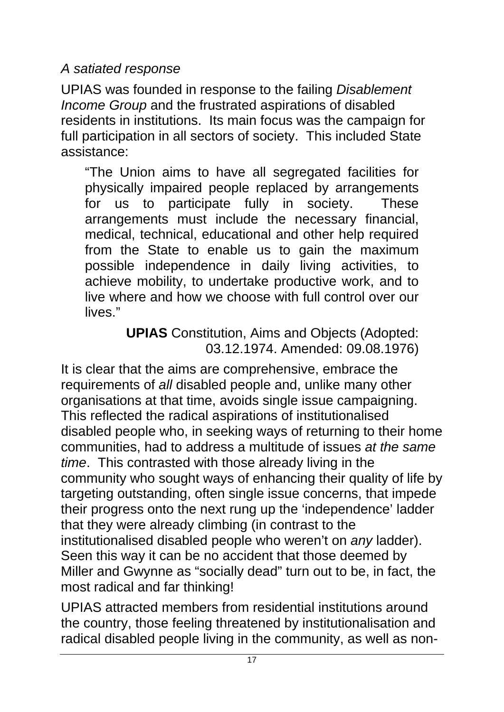*A satiated response* 

UPIAS was founded in response to the failing *Disablement Income Group* and the frustrated aspirations of disabled residents in institutions. Its main focus was the campaign for full participation in all sectors of society. This included State assistance:

"The Union aims to have all segregated facilities for physically impaired people replaced by arrangements for us to participate fully in society. These arrangements must include the necessary financial, medical, technical, educational and other help required from the State to enable us to gain the maximum possible independence in daily living activities, to achieve mobility, to undertake productive work, and to live where and how we choose with full control over our lives."

> **UPIAS** Constitution, Aims and Objects (Adopted: 03.12.1974. Amended: 09.08.1976)

It is clear that the aims are comprehensive, embrace the requirements of *all* disabled people and, unlike many other organisations at that time, avoids single issue campaigning. This reflected the radical aspirations of institutionalised disabled people who, in seeking ways of returning to their home communities, had to address a multitude of issues *at the same time*. This contrasted with those already living in the community who sought ways of enhancing their quality of life by targeting outstanding, often single issue concerns, that impede their progress onto the next rung up the 'independence' ladder that they were already climbing (in contrast to the institutionalised disabled people who weren't on *any* ladder). Seen this way it can be no accident that those deemed by Miller and Gwynne as "socially dead" turn out to be, in fact, the most radical and far thinking!

UPIAS attracted members from residential institutions around the country, those feeling threatened by institutionalisation and radical disabled people living in the community, as well as non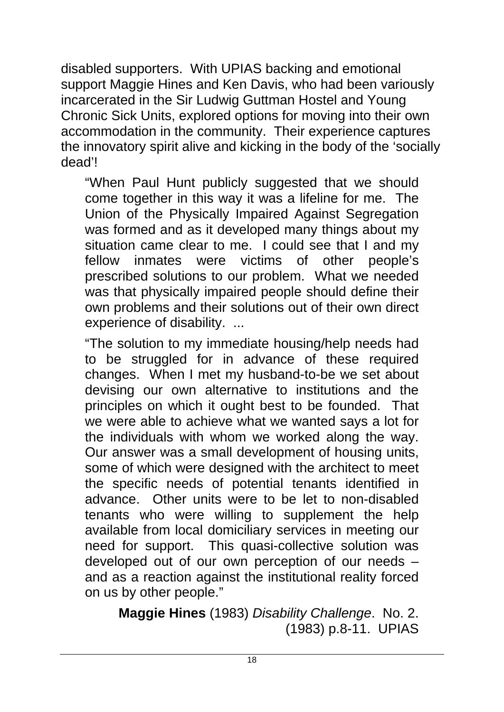disabled supporters. With UPIAS backing and emotional support Maggie Hines and Ken Davis, who had been variously incarcerated in the Sir Ludwig Guttman Hostel and Young Chronic Sick Units, explored options for moving into their own accommodation in the community. Their experience captures the innovatory spirit alive and kicking in the body of the 'socially dead'!

"When Paul Hunt publicly suggested that we should come together in this way it was a lifeline for me. The Union of the Physically Impaired Against Segregation was formed and as it developed many things about my situation came clear to me. I could see that I and my fellow inmates were victims of other people's prescribed solutions to our problem. What we needed was that physically impaired people should define their own problems and their solutions out of their own direct experience of disability. ...

"The solution to my immediate housing/help needs had to be struggled for in advance of these required changes. When I met my husband-to-be we set about devising our own alternative to institutions and the principles on which it ought best to be founded. That we were able to achieve what we wanted says a lot for the individuals with whom we worked along the way. Our answer was a small development of housing units, some of which were designed with the architect to meet the specific needs of potential tenants identified in advance. Other units were to be let to non-disabled tenants who were willing to supplement the help available from local domiciliary services in meeting our need for support. This quasi-collective solution was developed out of our own perception of our needs – and as a reaction against the institutional reality forced on us by other people."

**Maggie Hines** (1983) *Disability Challenge*. No. 2. (1983) p.8-11. UPIAS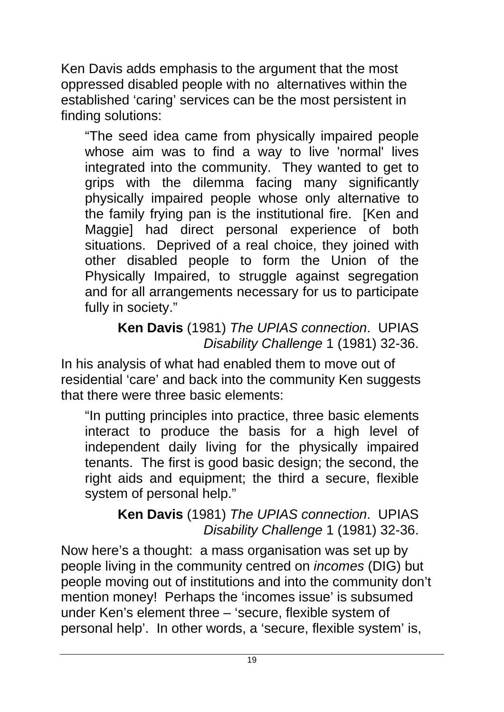Ken Davis adds emphasis to the argument that the most oppressed disabled people with no alternatives within the established 'caring' services can be the most persistent in finding solutions:

"The seed idea came from physically impaired people whose aim was to find a way to live 'normal' lives integrated into the community. They wanted to get to grips with the dilemma facing many significantly physically impaired people whose only alternative to the family frying pan is the institutional fire. [Ken and Maggie] had direct personal experience of both situations. Deprived of a real choice, they joined with other disabled people to form the Union of the Physically Impaired, to struggle against segregation and for all arrangements necessary for us to participate fully in society."

**Ken Davis** (1981) *The UPIAS connection*. UPIAS *Disability Challenge* 1 (1981) 32-36.

In his analysis of what had enabled them to move out of residential 'care' and back into the community Ken suggests that there were three basic elements:

"In putting principles into practice, three basic elements interact to produce the basis for a high level of independent daily living for the physically impaired tenants. The first is good basic design; the second, the right aids and equipment; the third a secure, flexible system of personal help."

**Ken Davis** (1981) *The UPIAS connection*. UPIAS *Disability Challenge* 1 (1981) 32-36.

Now here's a thought: a mass organisation was set up by people living in the community centred on *incomes* (DIG) but people moving out of institutions and into the community don't mention money! Perhaps the 'incomes issue' is subsumed under Ken's element three – 'secure, flexible system of personal help'. In other words, a 'secure, flexible system' is,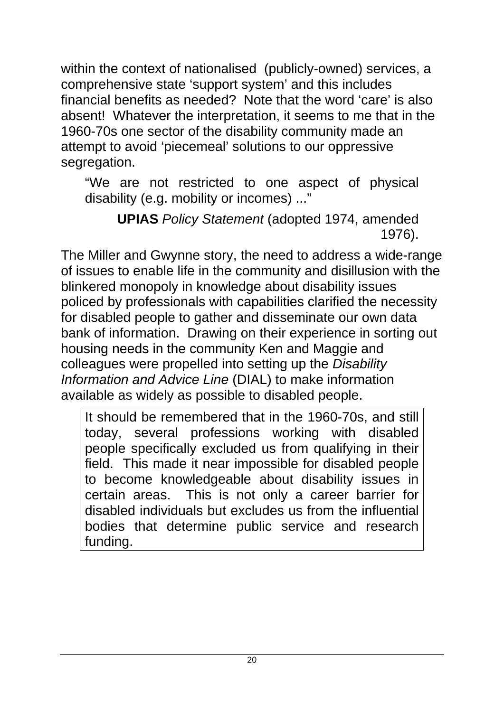within the context of nationalised (publicly-owned) services, a comprehensive state 'support system' and this includes financial benefits as needed? Note that the word 'care' is also absent! Whatever the interpretation, it seems to me that in the 1960-70s one sector of the disability community made an attempt to avoid 'piecemeal' solutions to our oppressive segregation.

"We are not restricted to one aspect of physical disability (e.g. mobility or incomes) ..."

**UPIAS** *Policy Statement* (adopted 1974, amended 1976).

The Miller and Gwynne story, the need to address a wide-range of issues to enable life in the community and disillusion with the blinkered monopoly in knowledge about disability issues policed by professionals with capabilities clarified the necessity for disabled people to gather and disseminate our own data bank of information. Drawing on their experience in sorting out housing needs in the community Ken and Maggie and colleagues were propelled into setting up the *Disability Information and Advice Line* (DIAL) to make information available as widely as possible to disabled people.

It should be remembered that in the 1960-70s, and still today, several professions working with disabled people specifically excluded us from qualifying in their field. This made it near impossible for disabled people to become knowledgeable about disability issues in certain areas. This is not only a career barrier for disabled individuals but excludes us from the influential bodies that determine public service and research funding.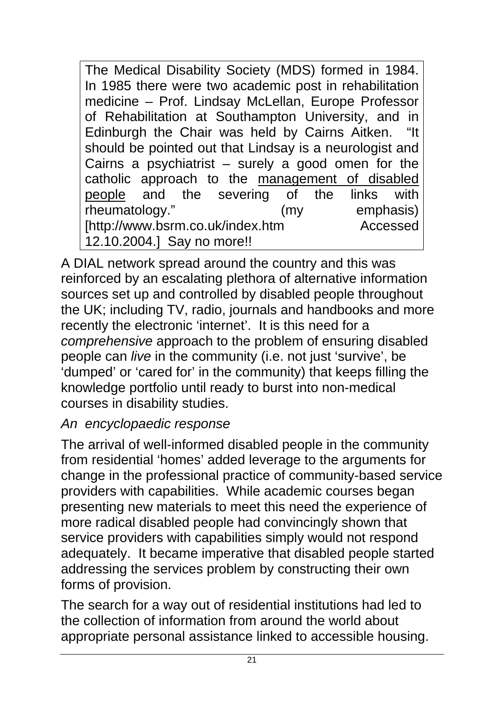The Medical Disability Society (MDS) formed in 1984. In 1985 there were two academic post in rehabilitation medicine – Prof. Lindsay McLellan, Europe Professor of Rehabilitation at Southampton University, and in Edinburgh the Chair was held by Cairns Aitken. "It should be pointed out that Lindsay is a neurologist and Cairns a psychiatrist – surely a good omen for the catholic approach to the management of disabled people and the severing of the links with rheumatology." (my emphasis) [http://www.bsrm.co.uk/index.htm Accessed 12.10.2004.] Say no more!!

A DIAL network spread around the country and this was reinforced by an escalating plethora of alternative information sources set up and controlled by disabled people throughout the UK; including TV, radio, journals and handbooks and more recently the electronic 'internet'. It is this need for a *comprehensive* approach to the problem of ensuring disabled people can *live* in the community (i.e. not just 'survive', be 'dumped' or 'cared for' in the community) that keeps filling the knowledge portfolio until ready to burst into non-medical courses in disability studies.

### *An encyclopaedic response*

The arrival of well-informed disabled people in the community from residential 'homes' added leverage to the arguments for change in the professional practice of community-based service providers with capabilities. While academic courses began presenting new materials to meet this need the experience of more radical disabled people had convincingly shown that service providers with capabilities simply would not respond adequately. It became imperative that disabled people started addressing the services problem by constructing their own forms of provision.

The search for a way out of residential institutions had led to the collection of information from around the world about appropriate personal assistance linked to accessible housing.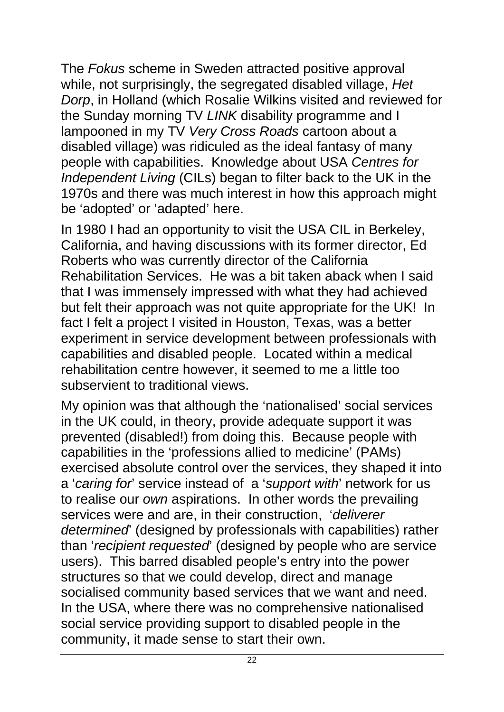The *Fokus* scheme in Sweden attracted positive approval while, not surprisingly, the segregated disabled village, *Het Dorp*, in Holland (which Rosalie Wilkins visited and reviewed for the Sunday morning TV *LINK* disability programme and I lampooned in my TV *Very Cross Roads* cartoon about a disabled village) was ridiculed as the ideal fantasy of many people with capabilities. Knowledge about USA *Centres for Independent Living* (CILs) began to filter back to the UK in the 1970s and there was much interest in how this approach might be 'adopted' or 'adapted' here.

In 1980 I had an opportunity to visit the USA CIL in Berkeley, California, and having discussions with its former director, Ed Roberts who was currently director of the California Rehabilitation Services. He was a bit taken aback when I said that I was immensely impressed with what they had achieved but felt their approach was not quite appropriate for the UK! In fact I felt a project I visited in Houston, Texas, was a better experiment in service development between professionals with capabilities and disabled people. Located within a medical rehabilitation centre however, it seemed to me a little too subservient to traditional views.

My opinion was that although the 'nationalised' social services in the UK could, in theory, provide adequate support it was prevented (disabled!) from doing this. Because people with capabilities in the 'professions allied to medicine' (PAMs) exercised absolute control over the services, they shaped it into a '*caring for*' service instead of a '*support with*' network for us to realise our *own* aspirations. In other words the prevailing services were and are, in their construction, '*deliverer determined*' (designed by professionals with capabilities) rather than '*recipient requested*' (designed by people who are service users). This barred disabled people's entry into the power structures so that we could develop, direct and manage socialised community based services that we want and need. In the USA, where there was no comprehensive nationalised social service providing support to disabled people in the community, it made sense to start their own.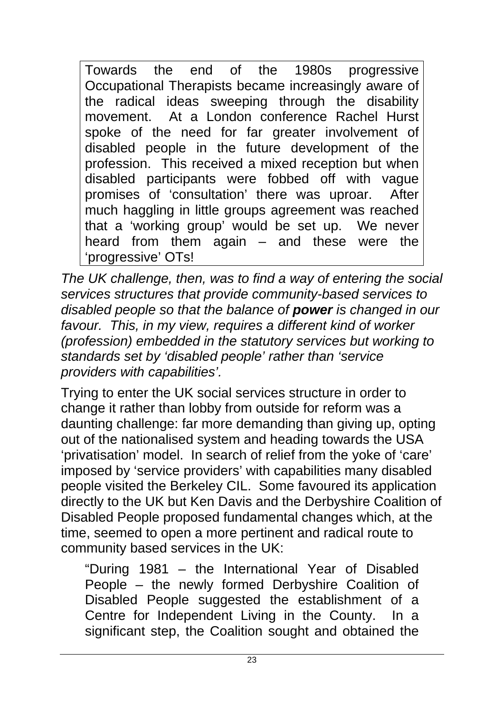Towards the end of the 1980s progressive Occupational Therapists became increasingly aware of the radical ideas sweeping through the disability movement. At a London conference Rachel Hurst spoke of the need for far greater involvement of disabled people in the future development of the profession. This received a mixed reception but when disabled participants were fobbed off with vague promises of 'consultation' there was uproar. After much haggling in little groups agreement was reached that a 'working group' would be set up. We never heard from them again – and these were the 'progressive' OTs!

*The UK challenge, then, was to find a way of entering the social services structures that provide community-based services to disabled people so that the balance of power is changed in our favour. This, in my view, requires a different kind of worker (profession) embedded in the statutory services but working to standards set by 'disabled people' rather than 'service providers with capabilities'.*

Trying to enter the UK social services structure in order to change it rather than lobby from outside for reform was a daunting challenge: far more demanding than giving up, opting out of the nationalised system and heading towards the USA 'privatisation' model. In search of relief from the yoke of 'care' imposed by 'service providers' with capabilities many disabled people visited the Berkeley CIL. Some favoured its application directly to the UK but Ken Davis and the Derbyshire Coalition of Disabled People proposed fundamental changes which, at the time, seemed to open a more pertinent and radical route to community based services in the UK:

"During 1981 – the International Year of Disabled People – the newly formed Derbyshire Coalition of Disabled People suggested the establishment of a Centre for Independent Living in the County. In a significant step, the Coalition sought and obtained the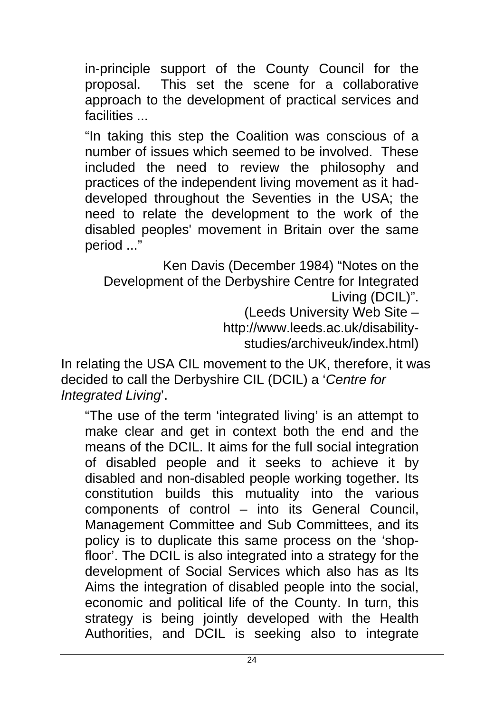in-principle support of the County Council for the proposal. This set the scene for a collaborative approach to the development of practical services and facilities ...

"In taking this step the Coalition was conscious of a number of issues which seemed to be involved. These included the need to review the philosophy and practices of the independent living movement as it haddeveloped throughout the Seventies in the USA; the need to relate the development to the work of the disabled peoples' movement in Britain over the same period ..."

Ken Davis (December 1984) "Notes on the Development of the Derbyshire Centre for Integrated Living (DCIL)". (Leeds University Web Site –

http://www.leeds.ac.uk/disabilitystudies/archiveuk/index.html)

In relating the USA CIL movement to the UK, therefore, it was decided to call the Derbyshire CIL (DCIL) a '*Centre for* 

*Integrated Living*'.

"The use of the term 'integrated living' is an attempt to make clear and get in context both the end and the means of the DCIL. It aims for the full social integration of disabled people and it seeks to achieve it by disabled and non-disabled people working together. Its constitution builds this mutuality into the various components of control – into its General Council, Management Committee and Sub Committees, and its policy is to duplicate this same process on the 'shopfloor'. The DCIL is also integrated into a strategy for the development of Social Services which also has as Its Aims the integration of disabled people into the social, economic and political life of the County. In turn, this strategy is being jointly developed with the Health Authorities, and DCIL is seeking also to integrate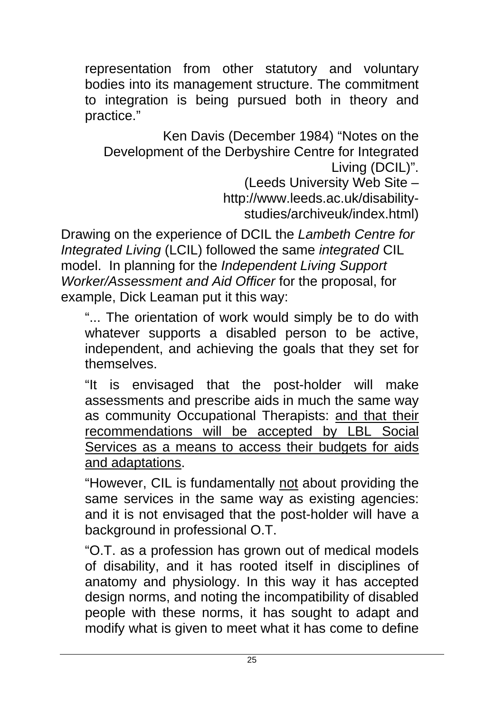representation from other statutory and voluntary bodies into its management structure. The commitment to integration is being pursued both in theory and practice."

Ken Davis (December 1984) "Notes on the Development of the Derbyshire Centre for Integrated Living (DCIL)".

(Leeds University Web Site – http://www.leeds.ac.uk/disabilitystudies/archiveuk/index.html)

Drawing on the experience of DCIL the *Lambeth Centre for Integrated Living* (LCIL) followed the same *integrated* CIL model. In planning for the *Independent Living Support Worker/Assessment and Aid Officer* for the proposal, for example, Dick Leaman put it this way:

"... The orientation of work would simply be to do with whatever supports a disabled person to be active, independent, and achieving the goals that they set for themselves.

"It is envisaged that the post-holder will make assessments and prescribe aids in much the same way as community Occupational Therapists: and that their recommendations will be accepted by LBL Social Services as a means to access their budgets for aids and adaptations.

"However, CIL is fundamentally not about providing the same services in the same way as existing agencies: and it is not envisaged that the post-holder will have a background in professional O.T.

"O.T. as a profession has grown out of medical models of disability, and it has rooted itself in disciplines of anatomy and physiology. In this way it has accepted design norms, and noting the incompatibility of disabled people with these norms, it has sought to adapt and modify what is given to meet what it has come to define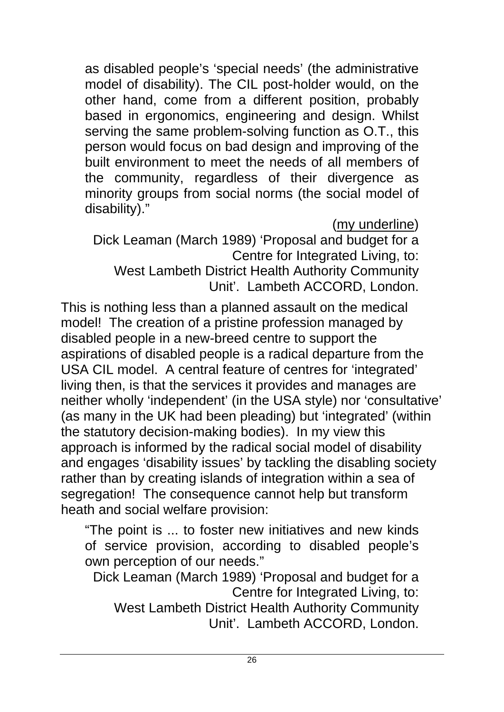as disabled people's 'special needs' (the administrative model of disability). The CIL post-holder would, on the other hand, come from a different position, probably based in ergonomics, engineering and design. Whilst serving the same problem-solving function as O.T., this person would focus on bad design and improving of the built environment to meet the needs of all members of the community, regardless of their divergence as minority groups from social norms (the social model of disability)."

(my underline)

Dick Leaman (March 1989) 'Proposal and budget for a Centre for Integrated Living, to: West Lambeth District Health Authority Community Unit'. Lambeth ACCORD, London.

This is nothing less than a planned assault on the medical model! The creation of a pristine profession managed by disabled people in a new-breed centre to support the aspirations of disabled people is a radical departure from the USA CIL model. A central feature of centres for 'integrated' living then, is that the services it provides and manages are neither wholly 'independent' (in the USA style) nor 'consultative' (as many in the UK had been pleading) but 'integrated' (within the statutory decision-making bodies). In my view this approach is informed by the radical social model of disability and engages 'disability issues' by tackling the disabling society rather than by creating islands of integration within a sea of segregation! The consequence cannot help but transform heath and social welfare provision:

"The point is ... to foster new initiatives and new kinds of service provision, according to disabled people's own perception of our needs."

Dick Leaman (March 1989) 'Proposal and budget for a Centre for Integrated Living, to: West Lambeth District Health Authority Community Unit'. Lambeth ACCORD, London.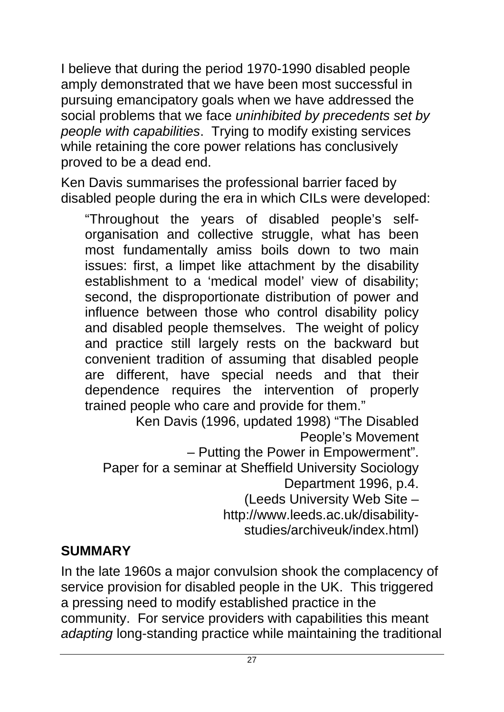I believe that during the period 1970-1990 disabled people amply demonstrated that we have been most successful in pursuing emancipatory goals when we have addressed the social problems that we face *uninhibited by precedents set by people with capabilities*. Trying to modify existing services while retaining the core power relations has conclusively proved to be a dead end.

Ken Davis summarises the professional barrier faced by disabled people during the era in which CILs were developed:

"Throughout the years of disabled people's selforganisation and collective struggle, what has been most fundamentally amiss boils down to two main issues: first, a limpet like attachment by the disability establishment to a 'medical model' view of disability; second, the disproportionate distribution of power and influence between those who control disability policy and disabled people themselves. The weight of policy and practice still largely rests on the backward but convenient tradition of assuming that disabled people are different, have special needs and that their dependence requires the intervention of properly trained people who care and provide for them."

Ken Davis (1996, updated 1998) "The Disabled People's Movement

– Putting the Power in Empowerment".

Paper for a seminar at Sheffield University Sociology

Department 1996, p.4.

(Leeds University Web Site –

http://www.leeds.ac.uk/disability-

studies/archiveuk/index.html)

### **SUMMARY**

In the late 1960s a major convulsion shook the complacency of service provision for disabled people in the UK. This triggered a pressing need to modify established practice in the community. For service providers with capabilities this meant *adapting* long-standing practice while maintaining the traditional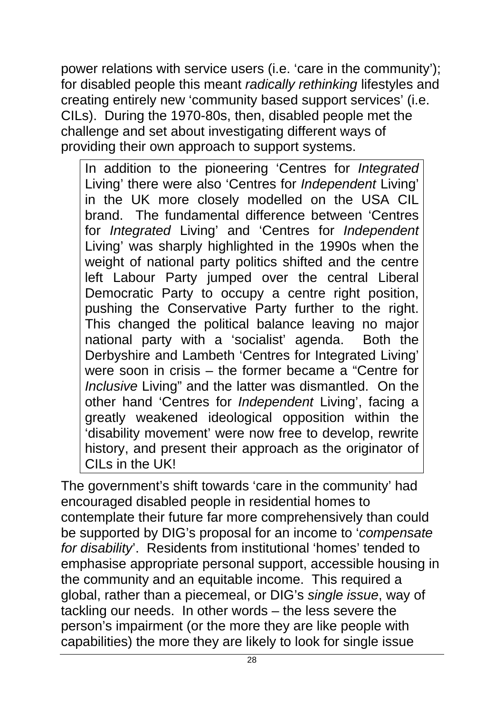power relations with service users (i.e. 'care in the community'); for disabled people this meant *radically rethinking* lifestyles and creating entirely new 'community based support services' (i.e. CILs). During the 1970-80s, then, disabled people met the challenge and set about investigating different ways of providing their own approach to support systems.

In addition to the pioneering 'Centres for *Integrated* Living' there were also 'Centres for *Independent* Living' in the UK more closely modelled on the USA CIL brand. The fundamental difference between 'Centres for *Integrated* Living' and 'Centres for *Independent* Living' was sharply highlighted in the 1990s when the weight of national party politics shifted and the centre left Labour Party jumped over the central Liberal Democratic Party to occupy a centre right position, pushing the Conservative Party further to the right. This changed the political balance leaving no major national party with a 'socialist' agenda. Both the Derbyshire and Lambeth 'Centres for Integrated Living' were soon in crisis – the former became a "Centre for *Inclusive* Living" and the latter was dismantled. On the other hand 'Centres for *Independent* Living', facing a greatly weakened ideological opposition within the 'disability movement' were now free to develop, rewrite history, and present their approach as the originator of CILs in the UK!

The government's shift towards 'care in the community' had encouraged disabled people in residential homes to contemplate their future far more comprehensively than could be supported by DIG's proposal for an income to '*compensate for disability*'. Residents from institutional 'homes' tended to emphasise appropriate personal support, accessible housing in the community and an equitable income. This required a global, rather than a piecemeal, or DIG's *single issue*, way of tackling our needs. In other words – the less severe the person's impairment (or the more they are like people with capabilities) the more they are likely to look for single issue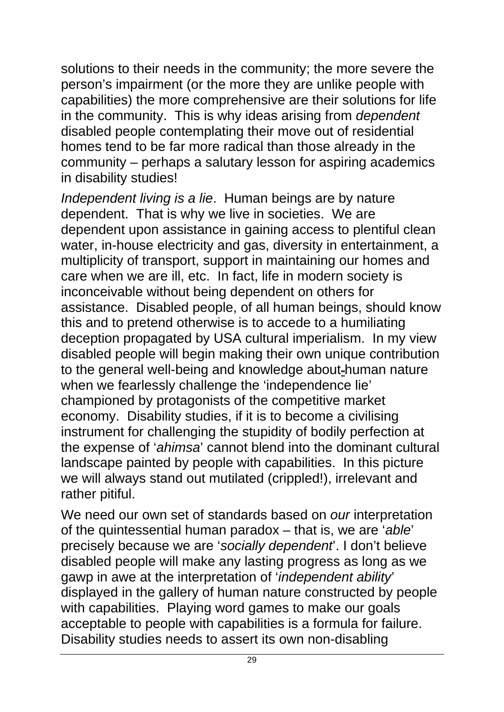solutions to their needs in the community; the more severe the person's impairment (or the more they are unlike people with capabilities) the more comprehensive are their solutions for life in the community. This is why ideas arising from *dependent* disabled people contemplating their move out of residential homes tend to be far more radical than those already in the community – perhaps a salutary lesson for aspiring academics in disability studies!

*Independent living is a lie*. Human beings are by nature dependent. That is why we live in societies. We are dependent upon assistance in gaining access to plentiful clean water, in-house electricity and gas, diversity in entertainment, a multiplicity of transport, support in maintaining our homes and care when we are ill, etc. In fact, life in modern society is inconceivable without being dependent on others for assistance. Disabled people, of all human beings, should know this and to pretend otherwise is to accede to a humiliating deception propagated by USA cultural imperialism. In my view disabled people will begin making their own unique contribution to the general well-being and knowledge about-human nature when we fearlessly challenge the 'independence lie' championed by protagonists of the competitive market economy. Disability studies, if it is to become a civilising instrument for challenging the stupidity of bodily perfection at the expense of '*ahimsa*' cannot blend into the dominant cultural landscape painted by people with capabilities. In this picture we will always stand out mutilated (crippled!), irrelevant and rather pitiful.

We need our own set of standards based on *our* interpretation of the quintessential human paradox – that is, we are '*able*' precisely because we are '*socially dependent*'. I don't believe disabled people will make any lasting progress as long as we gawp in awe at the interpretation of '*independent ability*' displayed in the gallery of human nature constructed by people with capabilities. Playing word games to make our goals acceptable to people with capabilities is a formula for failure. Disability studies needs to assert its own non-disabling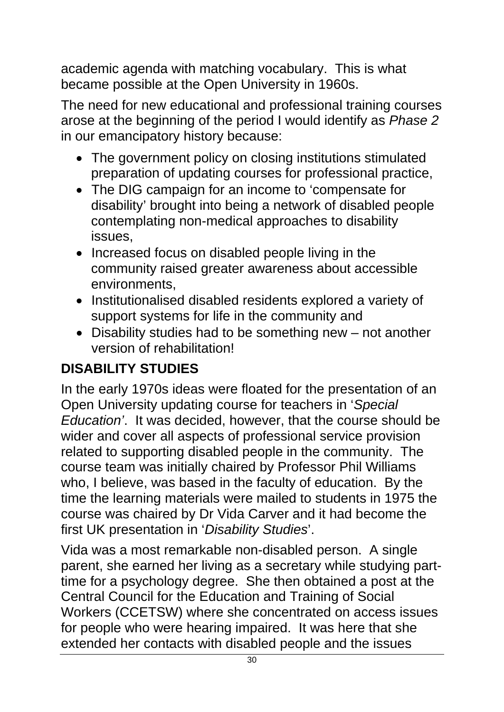academic agenda with matching vocabulary. This is what became possible at the Open University in 1960s.

The need for new educational and professional training courses arose at the beginning of the period I would identify as *Phase 2* in our emancipatory history because:

- The government policy on closing institutions stimulated preparation of updating courses for professional practice,
- The DIG campaign for an income to 'compensate for disability' brought into being a network of disabled people contemplating non-medical approaches to disability issues,
- Increased focus on disabled people living in the community raised greater awareness about accessible environments,
- Institutionalised disabled residents explored a variety of support systems for life in the community and
- Disability studies had to be something new not another version of rehabilitation!

# **DISABILITY STUDIES**

In the early 1970s ideas were floated for the presentation of an Open University updating course for teachers in '*Special Education'*. It was decided, however, that the course should be wider and cover all aspects of professional service provision related to supporting disabled people in the community. The course team was initially chaired by Professor Phil Williams who, I believe, was based in the faculty of education. By the time the learning materials were mailed to students in 1975 the course was chaired by Dr Vida Carver and it had become the first UK presentation in '*Disability Studies*'.

Vida was a most remarkable non-disabled person. A single parent, she earned her living as a secretary while studying parttime for a psychology degree. She then obtained a post at the Central Council for the Education and Training of Social Workers (CCETSW) where she concentrated on access issues for people who were hearing impaired. It was here that she extended her contacts with disabled people and the issues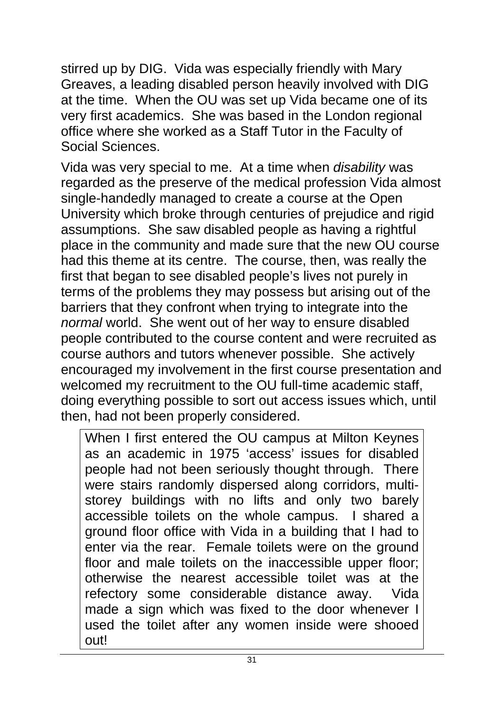stirred up by DIG. Vida was especially friendly with Mary Greaves, a leading disabled person heavily involved with DIG at the time. When the OU was set up Vida became one of its very first academics. She was based in the London regional office where she worked as a Staff Tutor in the Faculty of Social Sciences.

Vida was very special to me. At a time when *disability* was regarded as the preserve of the medical profession Vida almost single-handedly managed to create a course at the Open University which broke through centuries of prejudice and rigid assumptions. She saw disabled people as having a rightful place in the community and made sure that the new OU course had this theme at its centre. The course, then, was really the first that began to see disabled people's lives not purely in terms of the problems they may possess but arising out of the barriers that they confront when trying to integrate into the *normal* world. She went out of her way to ensure disabled people contributed to the course content and were recruited as course authors and tutors whenever possible. She actively encouraged my involvement in the first course presentation and welcomed my recruitment to the OU full-time academic staff, doing everything possible to sort out access issues which, until then, had not been properly considered.

When I first entered the OU campus at Milton Keynes as an academic in 1975 'access' issues for disabled people had not been seriously thought through. There were stairs randomly dispersed along corridors, multistorey buildings with no lifts and only two barely accessible toilets on the whole campus. I shared a ground floor office with Vida in a building that I had to enter via the rear. Female toilets were on the ground floor and male toilets on the inaccessible upper floor; otherwise the nearest accessible toilet was at the refectory some considerable distance away. Vida made a sign which was fixed to the door whenever I used the toilet after any women inside were shooed out!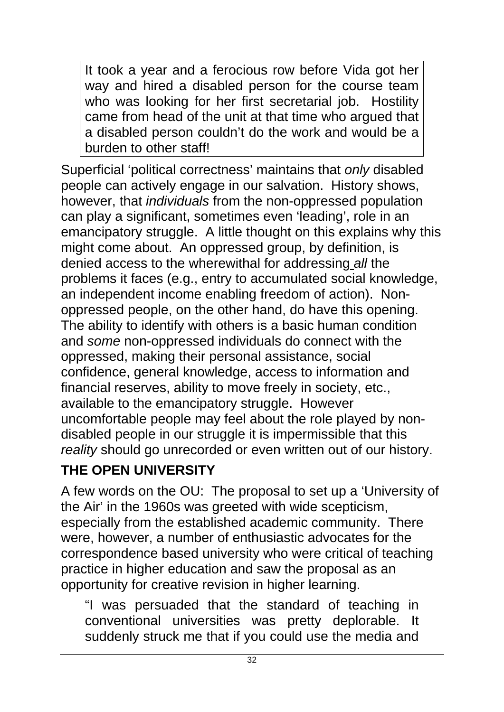It took a year and a ferocious row before Vida got her way and hired a disabled person for the course team who was looking for her first secretarial job. Hostility came from head of the unit at that time who argued that a disabled person couldn't do the work and would be a burden to other staff!

Superficial 'political correctness' maintains that *only* disabled people can actively engage in our salvation. History shows, however, that *individuals* from the non-oppressed population can play a significant, sometimes even 'leading', role in an emancipatory struggle. A little thought on this explains why this might come about. An oppressed group, by definition, is denied access to the wherewithal for addressing *all* the problems it faces (e.g., entry to accumulated social knowledge, an independent income enabling freedom of action). Nonoppressed people, on the other hand, do have this opening. The ability to identify with others is a basic human condition and *some* non-oppressed individuals do connect with the oppressed, making their personal assistance, social confidence, general knowledge, access to information and financial reserves, ability to move freely in society, etc., available to the emancipatory struggle. However uncomfortable people may feel about the role played by nondisabled people in our struggle it is impermissible that this *reality* should go unrecorded or even written out of our history.

## **THE OPEN UNIVERSITY**

A few words on the OU: The proposal to set up a 'University of the Air' in the 1960s was greeted with wide scepticism, especially from the established academic community. There were, however, a number of enthusiastic advocates for the correspondence based university who were critical of teaching practice in higher education and saw the proposal as an opportunity for creative revision in higher learning.

"I was persuaded that the standard of teaching in conventional universities was pretty deplorable. It suddenly struck me that if you could use the media and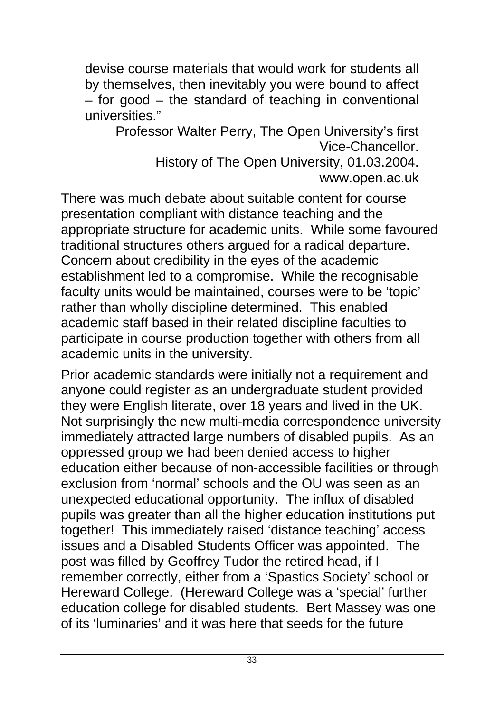devise course materials that would work for students all by themselves, then inevitably you were bound to affect – for good – the standard of teaching in conventional universities."

Professor Walter Perry, The Open University's first Vice-Chancellor. History of The Open University, 01.03.2004. www.open.ac.uk

There was much debate about suitable content for course presentation compliant with distance teaching and the appropriate structure for academic units. While some favoured traditional structures others argued for a radical departure. Concern about credibility in the eyes of the academic establishment led to a compromise. While the recognisable faculty units would be maintained, courses were to be 'topic' rather than wholly discipline determined. This enabled academic staff based in their related discipline faculties to participate in course production together with others from all academic units in the university.

Prior academic standards were initially not a requirement and anyone could register as an undergraduate student provided they were English literate, over 18 years and lived in the UK. Not surprisingly the new multi-media correspondence university immediately attracted large numbers of disabled pupils. As an oppressed group we had been denied access to higher education either because of non-accessible facilities or through exclusion from 'normal' schools and the OU was seen as an unexpected educational opportunity. The influx of disabled pupils was greater than all the higher education institutions put together! This immediately raised 'distance teaching' access issues and a Disabled Students Officer was appointed. The post was filled by Geoffrey Tudor the retired head, if I remember correctly, either from a 'Spastics Society' school or Hereward College. (Hereward College was a 'special' further education college for disabled students. Bert Massey was one of its 'luminaries' and it was here that seeds for the future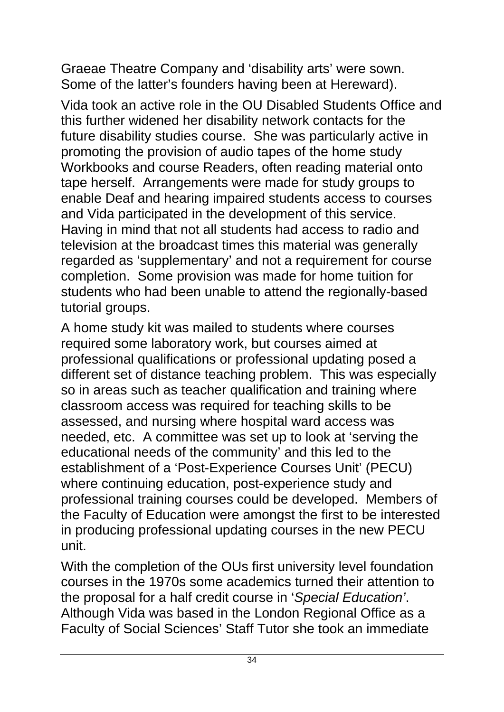Graeae Theatre Company and 'disability arts' were sown. Some of the latter's founders having been at Hereward).

Vida took an active role in the OU Disabled Students Office and this further widened her disability network contacts for the future disability studies course. She was particularly active in promoting the provision of audio tapes of the home study Workbooks and course Readers, often reading material onto tape herself. Arrangements were made for study groups to enable Deaf and hearing impaired students access to courses and Vida participated in the development of this service. Having in mind that not all students had access to radio and television at the broadcast times this material was generally regarded as 'supplementary' and not a requirement for course completion. Some provision was made for home tuition for students who had been unable to attend the regionally-based tutorial groups.

A home study kit was mailed to students where courses required some laboratory work, but courses aimed at professional qualifications or professional updating posed a different set of distance teaching problem. This was especially so in areas such as teacher qualification and training where classroom access was required for teaching skills to be assessed, and nursing where hospital ward access was needed, etc. A committee was set up to look at 'serving the educational needs of the community' and this led to the establishment of a 'Post-Experience Courses Unit' (PECU) where continuing education, post-experience study and professional training courses could be developed. Members of the Faculty of Education were amongst the first to be interested in producing professional updating courses in the new PECU unit.

With the completion of the OUs first university level foundation courses in the 1970s some academics turned their attention to the proposal for a half credit course in '*Special Education'*. Although Vida was based in the London Regional Office as a Faculty of Social Sciences' Staff Tutor she took an immediate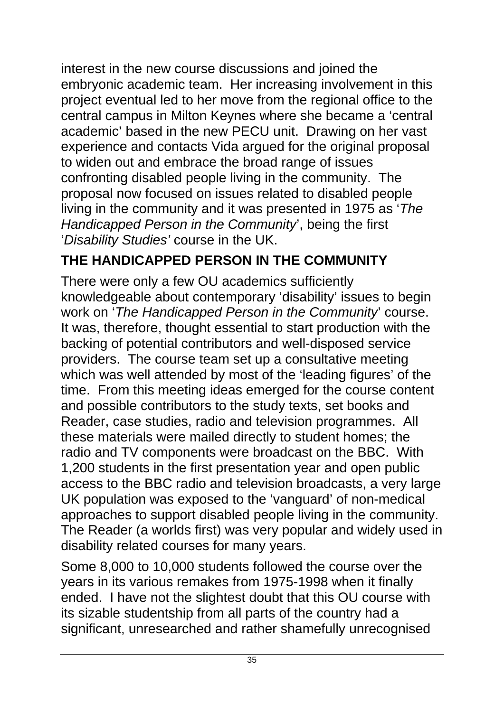interest in the new course discussions and joined the embryonic academic team. Her increasing involvement in this project eventual led to her move from the regional office to the central campus in Milton Keynes where she became a 'central academic' based in the new PECU unit. Drawing on her vast experience and contacts Vida argued for the original proposal to widen out and embrace the broad range of issues confronting disabled people living in the community. The proposal now focused on issues related to disabled people living in the community and it was presented in 1975 as '*The Handicapped Person in the Community*', being the first '*Disability Studies'* course in the UK.

## **THE HANDICAPPED PERSON IN THE COMMUNITY**

There were only a few OU academics sufficiently knowledgeable about contemporary 'disability' issues to begin work on '*The Handicapped Person in the Community*' course. It was, therefore, thought essential to start production with the backing of potential contributors and well-disposed service providers. The course team set up a consultative meeting which was well attended by most of the 'leading figures' of the time. From this meeting ideas emerged for the course content and possible contributors to the study texts, set books and Reader, case studies, radio and television programmes. All these materials were mailed directly to student homes; the radio and TV components were broadcast on the BBC. With 1,200 students in the first presentation year and open public access to the BBC radio and television broadcasts, a very large UK population was exposed to the 'vanguard' of non-medical approaches to support disabled people living in the community. The Reader (a worlds first) was very popular and widely used in disability related courses for many years.

Some 8,000 to 10,000 students followed the course over the years in its various remakes from 1975-1998 when it finally ended. I have not the slightest doubt that this OU course with its sizable studentship from all parts of the country had a significant, unresearched and rather shamefully unrecognised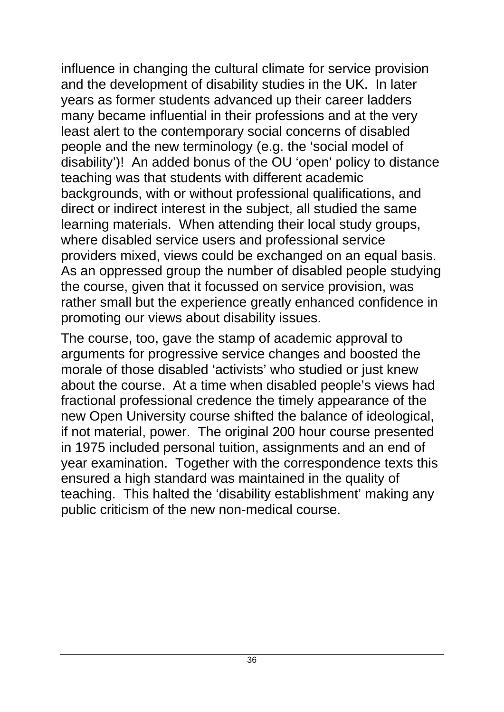influence in changing the cultural climate for service provision and the development of disability studies in the UK. In later years as former students advanced up their career ladders many became influential in their professions and at the very least alert to the contemporary social concerns of disabled people and the new terminology (e.g. the 'social model of disability')! An added bonus of the OU 'open' policy to distance teaching was that students with different academic backgrounds, with or without professional qualifications, and direct or indirect interest in the subject, all studied the same learning materials. When attending their local study groups, where disabled service users and professional service providers mixed, views could be exchanged on an equal basis. As an oppressed group the number of disabled people studying the course, given that it focussed on service provision, was rather small but the experience greatly enhanced confidence in promoting our views about disability issues.

The course, too, gave the stamp of academic approval to arguments for progressive service changes and boosted the morale of those disabled 'activists' who studied or just knew about the course. At a time when disabled people's views had fractional professional credence the timely appearance of the new Open University course shifted the balance of ideological, if not material, power. The original 200 hour course presented in 1975 included personal tuition, assignments and an end of year examination. Together with the correspondence texts this ensured a high standard was maintained in the quality of teaching. This halted the 'disability establishment' making any public criticism of the new non-medical course.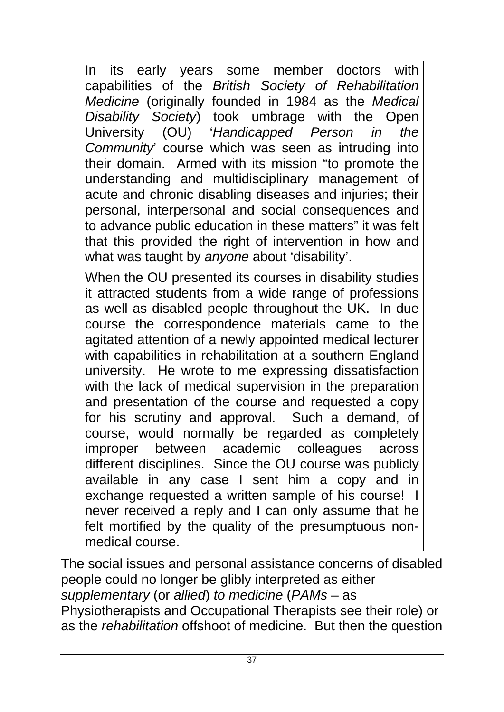In its early years some member doctors with capabilities of the *British Society of Rehabilitation Medicine* (originally founded in 1984 as the *Medical Disability Society*) took umbrage with the Open University (OU) '*Handicapped Person in the Community*' course which was seen as intruding into their domain. Armed with its mission "to promote the understanding and multidisciplinary management of acute and chronic disabling diseases and injuries; their personal, interpersonal and social consequences and to advance public education in these matters" it was felt that this provided the right of intervention in how and what was taught by *anyone* about 'disability'.

When the OU presented its courses in disability studies it attracted students from a wide range of professions as well as disabled people throughout the UK. In due course the correspondence materials came to the agitated attention of a newly appointed medical lecturer with capabilities in rehabilitation at a southern England university. He wrote to me expressing dissatisfaction with the lack of medical supervision in the preparation and presentation of the course and requested a copy for his scrutiny and approval. Such a demand, of course, would normally be regarded as completely improper between academic colleagues across different disciplines. Since the OU course was publicly available in any case I sent him a copy and in exchange requested a written sample of his course! I never received a reply and I can only assume that he felt mortified by the quality of the presumptuous nonmedical course.

The social issues and personal assistance concerns of disabled people could no longer be glibly interpreted as either *supplementary* (or *allied*) *to medicine* (*PAMs* – as Physiotherapists and Occupational Therapists see their role) or as the *rehabilitation* offshoot of medicine. But then the question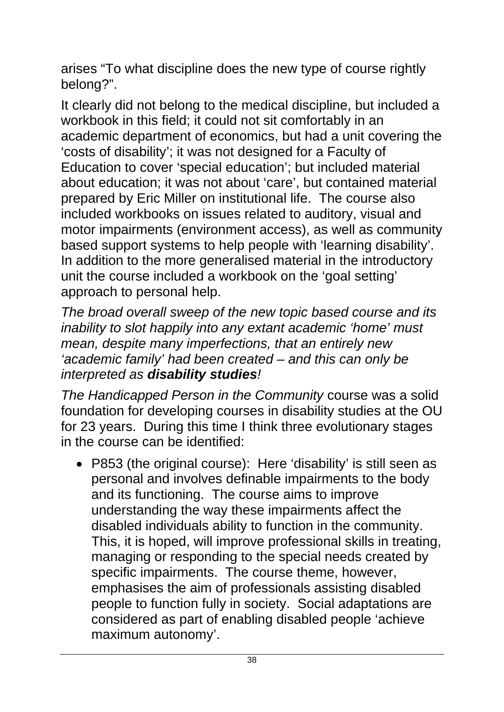arises "To what discipline does the new type of course rightly belong?".

It clearly did not belong to the medical discipline, but included a workbook in this field; it could not sit comfortably in an academic department of economics, but had a unit covering the 'costs of disability'; it was not designed for a Faculty of Education to cover 'special education'; but included material about education; it was not about 'care', but contained material prepared by Eric Miller on institutional life. The course also included workbooks on issues related to auditory, visual and motor impairments (environment access), as well as community based support systems to help people with 'learning disability'. In addition to the more generalised material in the introductory unit the course included a workbook on the 'goal setting' approach to personal help.

*The broad overall sweep of the new topic based course and its inability to slot happily into any extant academic 'home' must mean, despite many imperfections, that an entirely new 'academic family' had been created – and this can only be interpreted as disability studies!*

*The Handicapped Person in the Community* course was a solid foundation for developing courses in disability studies at the OU for 23 years. During this time I think three evolutionary stages in the course can be identified:

• P853 (the original course): Here 'disability' is still seen as personal and involves definable impairments to the body and its functioning. The course aims to improve understanding the way these impairments affect the disabled individuals ability to function in the community. This, it is hoped, will improve professional skills in treating, managing or responding to the special needs created by specific impairments. The course theme, however, emphasises the aim of professionals assisting disabled people to function fully in society. Social adaptations are considered as part of enabling disabled people 'achieve maximum autonomy'.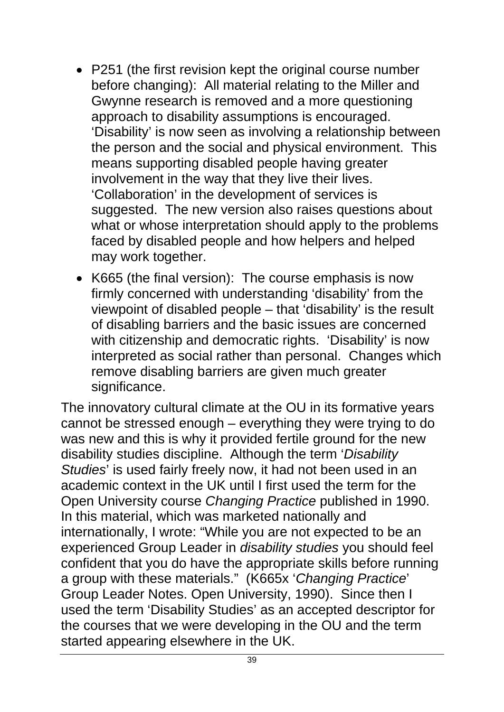- P251 (the first revision kept the original course number before changing): All material relating to the Miller and Gwynne research is removed and a more questioning approach to disability assumptions is encouraged. 'Disability' is now seen as involving a relationship between the person and the social and physical environment. This means supporting disabled people having greater involvement in the way that they live their lives. 'Collaboration' in the development of services is suggested. The new version also raises questions about what or whose interpretation should apply to the problems faced by disabled people and how helpers and helped may work together.
- K665 (the final version): The course emphasis is now firmly concerned with understanding 'disability' from the viewpoint of disabled people – that 'disability' is the result of disabling barriers and the basic issues are concerned with citizenship and democratic rights. 'Disability' is now interpreted as social rather than personal. Changes which remove disabling barriers are given much greater significance.

The innovatory cultural climate at the OU in its formative years cannot be stressed enough – everything they were trying to do was new and this is why it provided fertile ground for the new disability studies discipline. Although the term '*Disability Studies*' is used fairly freely now, it had not been used in an academic context in the UK until I first used the term for the Open University course *Changing Practice* published in 1990. In this material, which was marketed nationally and internationally, I wrote: "While you are not expected to be an experienced Group Leader in *disability studies* you should feel confident that you do have the appropriate skills before running a group with these materials." (K665x '*Changing Practice*' Group Leader Notes. Open University, 1990). Since then I used the term 'Disability Studies' as an accepted descriptor for the courses that we were developing in the OU and the term started appearing elsewhere in the UK.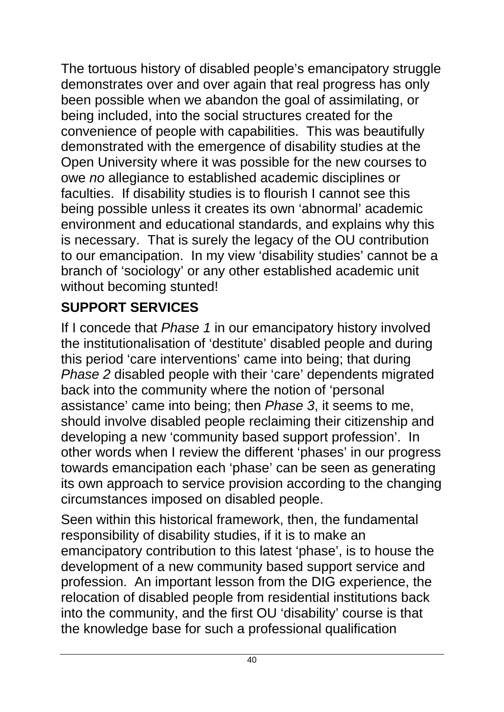The tortuous history of disabled people's emancipatory struggle demonstrates over and over again that real progress has only been possible when we abandon the goal of assimilating, or being included, into the social structures created for the convenience of people with capabilities. This was beautifully demonstrated with the emergence of disability studies at the Open University where it was possible for the new courses to owe *no* allegiance to established academic disciplines or faculties. If disability studies is to flourish I cannot see this being possible unless it creates its own 'abnormal' academic environment and educational standards, and explains why this is necessary. That is surely the legacy of the OU contribution to our emancipation. In my view 'disability studies' cannot be a branch of 'sociology' or any other established academic unit without becoming stunted!

## **SUPPORT SERVICES**

If I concede that *Phase 1* in our emancipatory history involved the institutionalisation of 'destitute' disabled people and during this period 'care interventions' came into being; that during *Phase 2* disabled people with their 'care' dependents migrated back into the community where the notion of 'personal assistance' came into being; then *Phase 3*, it seems to me, should involve disabled people reclaiming their citizenship and developing a new 'community based support profession'. In other words when I review the different 'phases' in our progress towards emancipation each 'phase' can be seen as generating its own approach to service provision according to the changing circumstances imposed on disabled people.

Seen within this historical framework, then, the fundamental responsibility of disability studies, if it is to make an emancipatory contribution to this latest 'phase', is to house the development of a new community based support service and profession. An important lesson from the DIG experience, the relocation of disabled people from residential institutions back into the community, and the first OU 'disability' course is that the knowledge base for such a professional qualification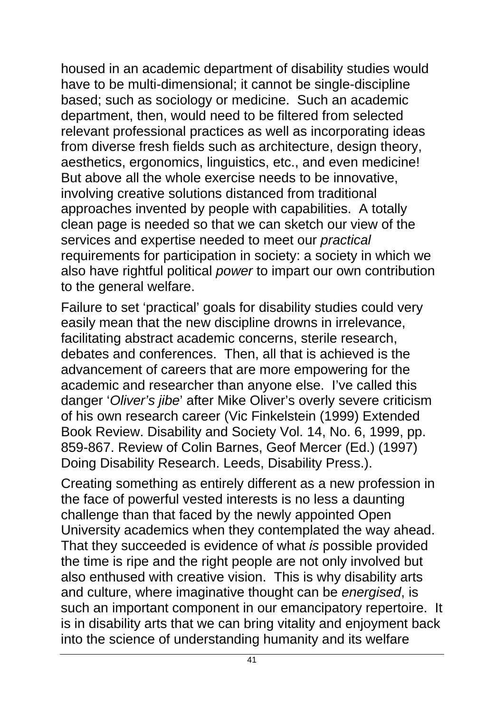housed in an academic department of disability studies would have to be multi-dimensional; it cannot be single-discipline based; such as sociology or medicine. Such an academic department, then, would need to be filtered from selected relevant professional practices as well as incorporating ideas from diverse fresh fields such as architecture, design theory, aesthetics, ergonomics, linguistics, etc., and even medicine! But above all the whole exercise needs to be innovative, involving creative solutions distanced from traditional approaches invented by people with capabilities. A totally clean page is needed so that we can sketch our view of the services and expertise needed to meet our *practical* requirements for participation in society: a society in which we also have rightful political *power* to impart our own contribution to the general welfare.

Failure to set 'practical' goals for disability studies could very easily mean that the new discipline drowns in irrelevance, facilitating abstract academic concerns, sterile research, debates and conferences. Then, all that is achieved is the advancement of careers that are more empowering for the academic and researcher than anyone else. I've called this danger '*Oliver's jibe*' after Mike Oliver's overly severe criticism of his own research career (Vic Finkelstein (1999) Extended Book Review. Disability and Society Vol. 14, No. 6, 1999, pp. 859-867. Review of Colin Barnes, Geof Mercer (Ed.) (1997) Doing Disability Research. Leeds, Disability Press.).

Creating something as entirely different as a new profession in the face of powerful vested interests is no less a daunting challenge than that faced by the newly appointed Open University academics when they contemplated the way ahead. That they succeeded is evidence of what *is* possible provided the time is ripe and the right people are not only involved but also enthused with creative vision. This is why disability arts and culture, where imaginative thought can be *energised*, is such an important component in our emancipatory repertoire. It is in disability arts that we can bring vitality and enjoyment back into the science of understanding humanity and its welfare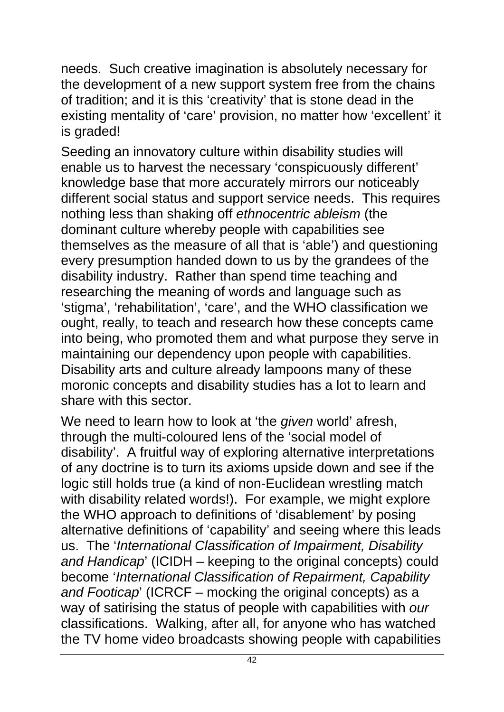needs. Such creative imagination is absolutely necessary for the development of a new support system free from the chains of tradition; and it is this 'creativity' that is stone dead in the existing mentality of 'care' provision, no matter how 'excellent' it is graded!

Seeding an innovatory culture within disability studies will enable us to harvest the necessary 'conspicuously different' knowledge base that more accurately mirrors our noticeably different social status and support service needs. This requires nothing less than shaking off *ethnocentric ableism* (the dominant culture whereby people with capabilities see themselves as the measure of all that is 'able') and questioning every presumption handed down to us by the grandees of the disability industry. Rather than spend time teaching and researching the meaning of words and language such as 'stigma', 'rehabilitation', 'care', and the WHO classification we ought, really, to teach and research how these concepts came into being, who promoted them and what purpose they serve in maintaining our dependency upon people with capabilities. Disability arts and culture already lampoons many of these moronic concepts and disability studies has a lot to learn and share with this sector.

We need to learn how to look at 'the *given* world' afresh, through the multi-coloured lens of the 'social model of disability'. A fruitful way of exploring alternative interpretations of any doctrine is to turn its axioms upside down and see if the logic still holds true (a kind of non-Euclidean wrestling match with disability related words!). For example, we might explore the WHO approach to definitions of 'disablement' by posing alternative definitions of 'capability' and seeing where this leads us. The '*International Classification of Impairment, Disability and Handicap*' (ICIDH – keeping to the original concepts) could become '*International Classification of Repairment, Capability and Footicap*' (ICRCF – mocking the original concepts) as a way of satirising the status of people with capabilities with *our* classifications. Walking, after all, for anyone who has watched the TV home video broadcasts showing people with capabilities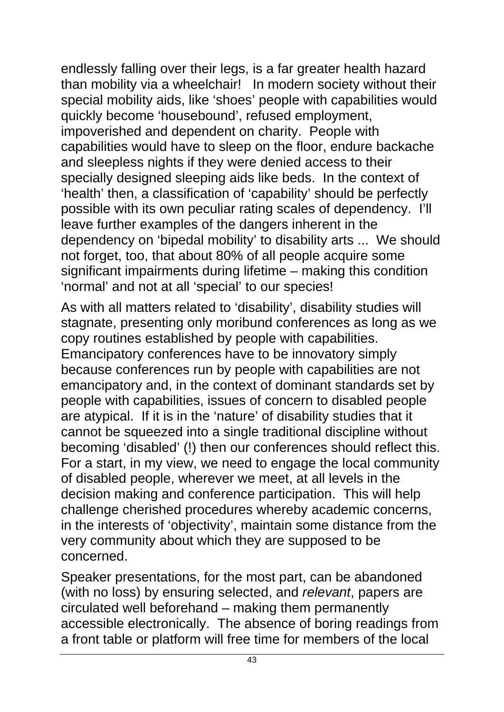endlessly falling over their legs, is a far greater health hazard than mobility via a wheelchair! In modern society without their special mobility aids, like 'shoes' people with capabilities would quickly become 'housebound', refused employment, impoverished and dependent on charity. People with capabilities would have to sleep on the floor, endure backache and sleepless nights if they were denied access to their specially designed sleeping aids like beds. In the context of 'health' then, a classification of 'capability' should be perfectly possible with its own peculiar rating scales of dependency. I'll leave further examples of the dangers inherent in the dependency on 'bipedal mobility' to disability arts ... We should not forget, too, that about 80% of all people acquire some significant impairments during lifetime – making this condition 'normal' and not at all 'special' to our species!

As with all matters related to 'disability', disability studies will stagnate, presenting only moribund conferences as long as we copy routines established by people with capabilities. Emancipatory conferences have to be innovatory simply because conferences run by people with capabilities are not emancipatory and, in the context of dominant standards set by people with capabilities, issues of concern to disabled people are atypical. If it is in the 'nature' of disability studies that it cannot be squeezed into a single traditional discipline without becoming 'disabled' (!) then our conferences should reflect this. For a start, in my view, we need to engage the local community of disabled people, wherever we meet, at all levels in the decision making and conference participation. This will help challenge cherished procedures whereby academic concerns, in the interests of 'objectivity', maintain some distance from the very community about which they are supposed to be concerned.

Speaker presentations, for the most part, can be abandoned (with no loss) by ensuring selected, and *relevant*, papers are circulated well beforehand – making them permanently accessible electronically. The absence of boring readings from a front table or platform will free time for members of the local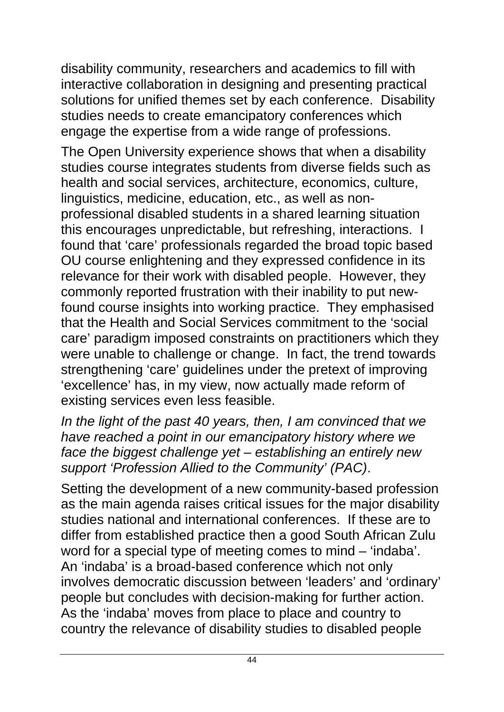disability community, researchers and academics to fill with interactive collaboration in designing and presenting practical solutions for unified themes set by each conference. Disability studies needs to create emancipatory conferences which engage the expertise from a wide range of professions.

The Open University experience shows that when a disability studies course integrates students from diverse fields such as health and social services, architecture, economics, culture, linguistics, medicine, education, etc., as well as nonprofessional disabled students in a shared learning situation this encourages unpredictable, but refreshing, interactions. I found that 'care' professionals regarded the broad topic based OU course enlightening and they expressed confidence in its relevance for their work with disabled people. However, they commonly reported frustration with their inability to put newfound course insights into working practice. They emphasised that the Health and Social Services commitment to the 'social care' paradigm imposed constraints on practitioners which they were unable to challenge or change. In fact, the trend towards strengthening 'care' guidelines under the pretext of improving 'excellence' has, in my view, now actually made reform of existing services even less feasible.

*In the light of the past 40 years, then, I am convinced that we have reached a point in our emancipatory history where we face the biggest challenge yet – establishing an entirely new support 'Profession Allied to the Community' (PAC)*.

Setting the development of a new community-based profession as the main agenda raises critical issues for the major disability studies national and international conferences. If these are to differ from established practice then a good South African Zulu word for a special type of meeting comes to mind – 'indaba'. An 'indaba' is a broad-based conference which not only involves democratic discussion between 'leaders' and 'ordinary' people but concludes with decision-making for further action. As the 'indaba' moves from place to place and country to country the relevance of disability studies to disabled people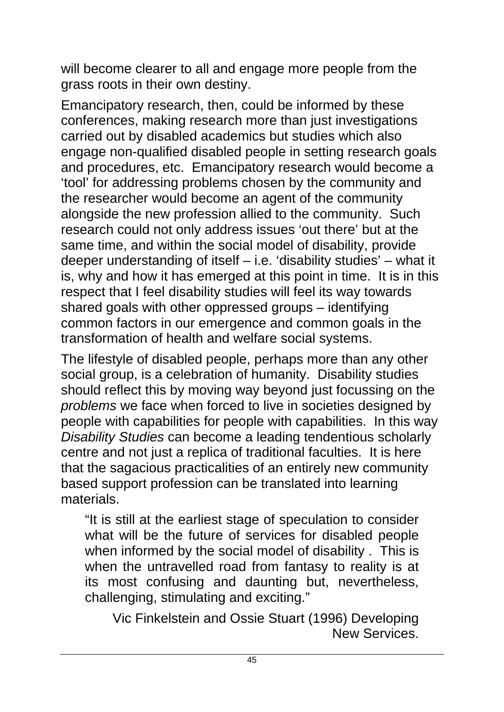will become clearer to all and engage more people from the grass roots in their own destiny.

Emancipatory research, then, could be informed by these conferences, making research more than just investigations carried out by disabled academics but studies which also engage non-qualified disabled people in setting research goals and procedures, etc. Emancipatory research would become a 'tool' for addressing problems chosen by the community and the researcher would become an agent of the community alongside the new profession allied to the community. Such research could not only address issues 'out there' but at the same time, and within the social model of disability, provide deeper understanding of itself – i.e. 'disability studies' – what it is, why and how it has emerged at this point in time. It is in this respect that I feel disability studies will feel its way towards shared goals with other oppressed groups – identifying common factors in our emergence and common goals in the transformation of health and welfare social systems.

The lifestyle of disabled people, perhaps more than any other social group, is a celebration of humanity. Disability studies should reflect this by moving way beyond just focussing on the *problems* we face when forced to live in societies designed by people with capabilities for people with capabilities. In this way *Disability Studies* can become a leading tendentious scholarly centre and not just a replica of traditional faculties. It is here that the sagacious practicalities of an entirely new community based support profession can be translated into learning materials.

"It is still at the earliest stage of speculation to consider what will be the future of services for disabled people when informed by the social model of disability . This is when the untravelled road from fantasy to reality is at its most confusing and daunting but, nevertheless, challenging, stimulating and exciting."

Vic Finkelstein and Ossie Stuart (1996) Developing New Services.